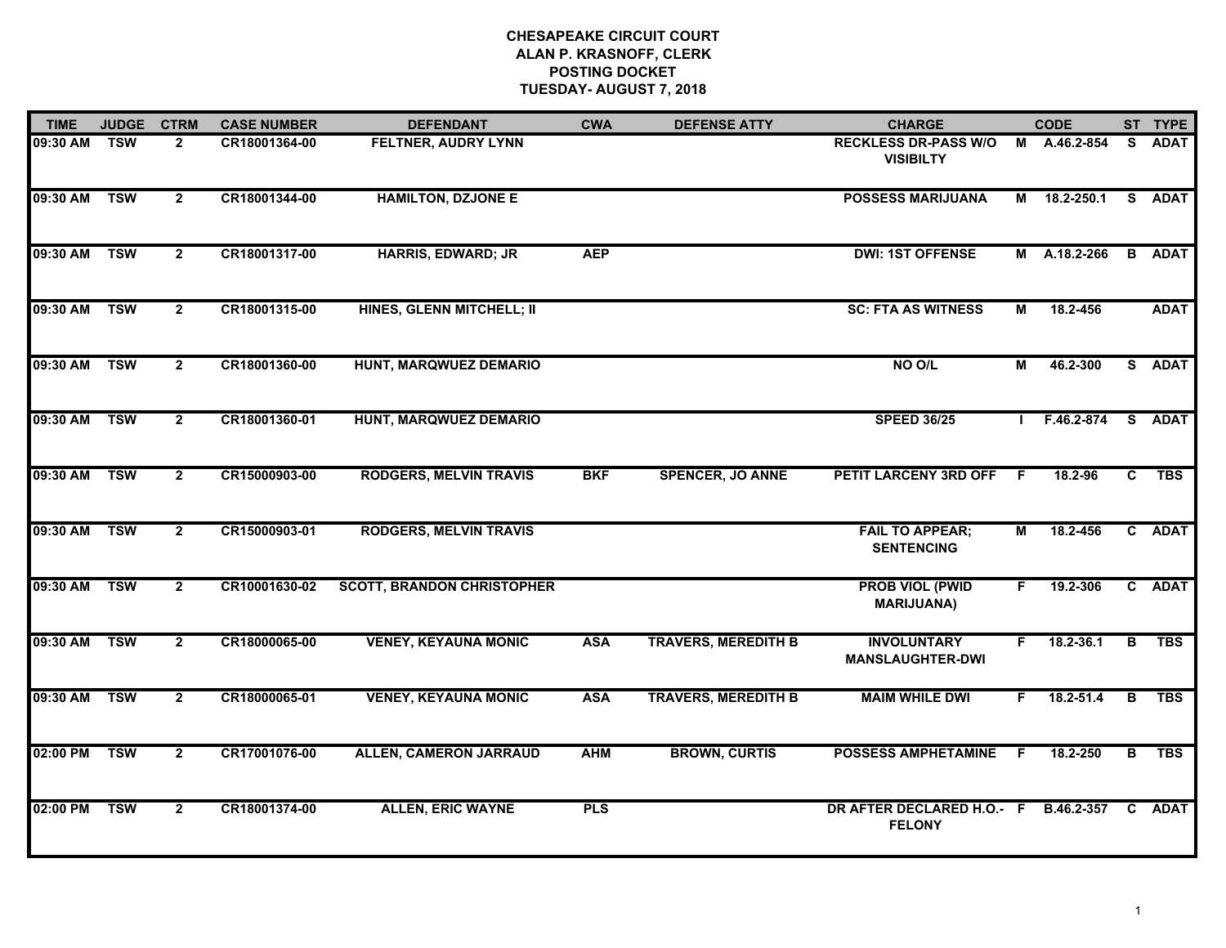| <b>TIME</b>  | <b>JUDGE</b> | <b>CTRM</b>    | <b>CASE NUMBER</b> | <b>DEFENDANT</b>                  | <b>CWA</b> | <b>DEFENSE ATTY</b>        | <b>CHARGE</b>                                         |    | <b>CODE</b>  |                         | ST TYPE       |
|--------------|--------------|----------------|--------------------|-----------------------------------|------------|----------------------------|-------------------------------------------------------|----|--------------|-------------------------|---------------|
| 09:30 AM     | <b>TSW</b>   | $\mathbf{2}$   | CR18001364-00      | <b>FELTNER, AUDRY LYNN</b>        |            |                            | <b>RECKLESS DR-PASS W/O</b><br><b>VISIBILTY</b>       |    | M A.46.2-854 | S.                      | <b>ADAT</b>   |
| 09:30 AM TSW |              | $\overline{2}$ | CR18001344-00      | <b>HAMILTON, DZJONE E</b>         |            |                            | <b>POSSESS MARIJUANA</b>                              |    | M 18.2-250.1 |                         | S ADAT        |
| 09:30 AM     | <b>TSW</b>   | $\overline{2}$ | CR18001317-00      | <b>HARRIS, EDWARD; JR</b>         | <b>AEP</b> |                            | <b>DWI: 1ST OFFENSE</b>                               |    | M A.18.2-266 |                         | <b>B</b> ADAT |
| 09:30 AM     | <b>TSW</b>   | $\overline{2}$ | CR18001315-00      | <b>HINES, GLENN MITCHELL; II</b>  |            |                            | <b>SC: FTA AS WITNESS</b>                             | М  | 18.2-456     |                         | <b>ADAT</b>   |
| 09:30 AM TSW |              | $\overline{2}$ | CR18001360-00      | HUNT, MARQWUEZ DEMARIO            |            |                            | NO O/L                                                | М  | 46.2-300     |                         | S ADAT        |
| 09:30 AM     | <b>TSW</b>   | $\overline{2}$ | CR18001360-01      | HUNT, MARQWUEZ DEMARIO            |            |                            | <b>SPEED 36/25</b>                                    |    | F.46.2-874   | $\overline{\mathbf{s}}$ | <b>ADAT</b>   |
| 09:30 AM     | <b>TSW</b>   | $\overline{2}$ | CR15000903-00      | <b>RODGERS, MELVIN TRAVIS</b>     | <b>BKF</b> | <b>SPENCER, JO ANNE</b>    | <b>PETIT LARCENY 3RD OFF</b>                          | -F | 18.2-96      | $\mathbf{C}$            | <b>TBS</b>    |
| 09:30 AM     | <b>TSW</b>   | $\overline{2}$ | CR15000903-01      | <b>RODGERS, MELVIN TRAVIS</b>     |            |                            | <b>FAIL TO APPEAR;</b><br><b>SENTENCING</b>           | М  | 18.2-456     |                         | C ADAT        |
| 09:30 AM     | <b>TSW</b>   | $\overline{2}$ | CR10001630-02      | <b>SCOTT, BRANDON CHRISTOPHER</b> |            |                            | <b>PROB VIOL (PWID</b><br><b>MARIJUANA)</b>           | F  | 19.2-306     |                         | C ADAT        |
| 09:30 AM TSW |              | $\overline{2}$ | CR18000065-00      | <b>VENEY, KEYAUNA MONIC</b>       | <b>ASA</b> | <b>TRAVERS, MEREDITH B</b> | <b>INVOLUNTARY</b><br><b>MANSLAUGHTER-DWI</b>         | F. | 18.2-36.1    | В                       | <b>TBS</b>    |
| 09:30 AM     | <b>TSW</b>   | $\overline{2}$ | CR18000065-01      | <b>VENEY, KEYAUNA MONIC</b>       | <b>ASA</b> | <b>TRAVERS, MEREDITH B</b> | <b>MAIM WHILE DWI</b>                                 | F. | 18.2-51.4    | B                       | <b>TBS</b>    |
| 02:00 PM     | <b>TSW</b>   | $\overline{2}$ | CR17001076-00      | <b>ALLEN, CAMERON JARRAUD</b>     | <b>AHM</b> | <b>BROWN, CURTIS</b>       | <b>POSSESS AMPHETAMINE</b>                            | -F | 18.2-250     | $\overline{\mathbf{B}}$ | <b>TBS</b>    |
| 02:00 PM     | <b>TSW</b>   | $\overline{2}$ | CR18001374-00      | <b>ALLEN, ERIC WAYNE</b>          | <b>PLS</b> |                            | DR AFTER DECLARED H.O.- F B.46.2-357<br><b>FELONY</b> |    |              |                         | C ADAT        |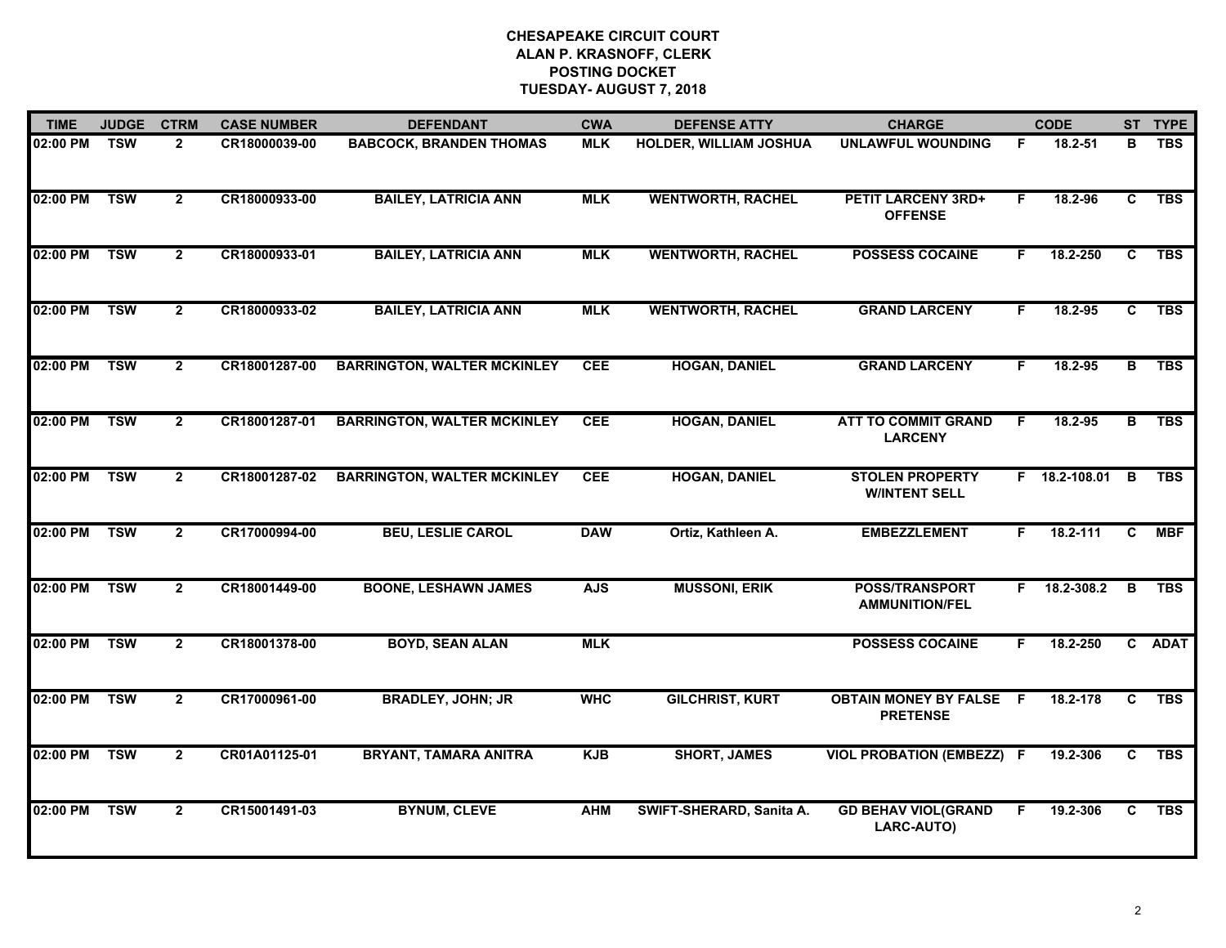| <b>TIME</b> | <b>JUDGE</b> | <b>CTRM</b>    | <b>CASE NUMBER</b> | <b>DEFENDANT</b>                   | <b>CWA</b> | <b>DEFENSE ATTY</b>      | <b>CHARGE</b>                                     |    | <b>CODE</b>   |                | ST TYPE    |
|-------------|--------------|----------------|--------------------|------------------------------------|------------|--------------------------|---------------------------------------------------|----|---------------|----------------|------------|
| 02:00 PM    | <b>TSW</b>   | $\overline{2}$ | CR18000039-00      | <b>BABCOCK, BRANDEN THOMAS</b>     | <b>MLK</b> | HOLDER, WILLIAM JOSHUA   | <b>UNLAWFUL WOUNDING</b>                          | F  | 18.2-51       | в              | <b>TBS</b> |
| 02:00 PM    | <b>TSW</b>   | $\overline{2}$ | CR18000933-00      | <b>BAILEY, LATRICIA ANN</b>        | <b>MLK</b> | <b>WENTWORTH, RACHEL</b> | <b>PETIT LARCENY 3RD+</b><br><b>OFFENSE</b>       | F. | 18.2-96       | C              | <b>TBS</b> |
| 02:00 PM    | <b>TSW</b>   | $\overline{2}$ | CR18000933-01      | <b>BAILEY, LATRICIA ANN</b>        | <b>MLK</b> | <b>WENTWORTH, RACHEL</b> | <b>POSSESS COCAINE</b>                            | F. | 18.2-250      | C              | <b>TBS</b> |
| 02:00 PM    | <b>TSW</b>   | $\mathbf{2}$   | CR18000933-02      | <b>BAILEY, LATRICIA ANN</b>        | <b>MLK</b> | <b>WENTWORTH, RACHEL</b> | <b>GRAND LARCENY</b>                              | F. | 18.2-95       | C              | <b>TBS</b> |
| 02:00 PM    | <b>TSW</b>   | $\overline{2}$ | CR18001287-00      | <b>BARRINGTON, WALTER MCKINLEY</b> | <b>CEE</b> | <b>HOGAN, DANIEL</b>     | <b>GRAND LARCENY</b>                              | F. | 18.2-95       | B              | <b>TBS</b> |
| 02:00 PM    | <b>TSW</b>   | $\mathbf{2}$   | CR18001287-01      | <b>BARRINGTON, WALTER MCKINLEY</b> | <b>CEE</b> | <b>HOGAN, DANIEL</b>     | <b>ATT TO COMMIT GRAND</b><br><b>LARCENY</b>      | F. | 18.2-95       |                | B TBS      |
| 02:00 PM    | <b>TSW</b>   | $\overline{2}$ | CR18001287-02      | <b>BARRINGTON, WALTER MCKINLEY</b> | <b>CEE</b> | <b>HOGAN, DANIEL</b>     | <b>STOLEN PROPERTY</b><br><b>W/INTENT SELL</b>    |    | F 18.2-108.01 | $\overline{B}$ | <b>TBS</b> |
| 02:00 PM    | <b>TSW</b>   | $\overline{2}$ | CR17000994-00      | <b>BEU, LESLIE CAROL</b>           | <b>DAW</b> | Ortiz, Kathleen A.       | <b>EMBEZZLEMENT</b>                               | F. | 18.2-111      | C              | <b>MBF</b> |
| 02:00 PM    | <b>TSW</b>   | $\mathbf{2}$   | CR18001449-00      | <b>BOONE, LESHAWN JAMES</b>        | <b>AJS</b> | <b>MUSSONI, ERIK</b>     | <b>POSS/TRANSPORT</b><br><b>AMMUNITION/FEL</b>    | F. | 18.2-308.2    | B              | <b>TBS</b> |
| 02:00 PM    | <b>TSW</b>   | $\overline{2}$ | CR18001378-00      | <b>BOYD, SEAN ALAN</b>             | <b>MLK</b> |                          | <b>POSSESS COCAINE</b>                            | F. | 18.2-250      |                | C ADAT     |
| 02:00 PM    | <b>TSW</b>   | $\mathbf{2}$   | CR17000961-00      | <b>BRADLEY, JOHN; JR</b>           | <b>WHC</b> | <b>GILCHRIST, KURT</b>   | <b>OBTAIN MONEY BY FALSE F</b><br><b>PRETENSE</b> |    | 18.2-178      | C              | <b>TBS</b> |
| 02:00 PM    | <b>TSW</b>   | $\overline{2}$ | CR01A01125-01      | <b>BRYANT, TAMARA ANITRA</b>       | <b>KJB</b> | <b>SHORT, JAMES</b>      | <b>VIOL PROBATION (EMBEZZ)</b>                    | -F | 19.2-306      | $\overline{c}$ | <b>TBS</b> |
| 02:00 PM    | <b>TSW</b>   | $\mathbf{2}$   | CR15001491-03      | <b>BYNUM, CLEVE</b>                | <b>AHM</b> | SWIFT-SHERARD, Sanita A. | <b>GD BEHAV VIOL(GRAND</b><br>LARC-AUTO)          | F  | 19.2-306      | C              | <b>TBS</b> |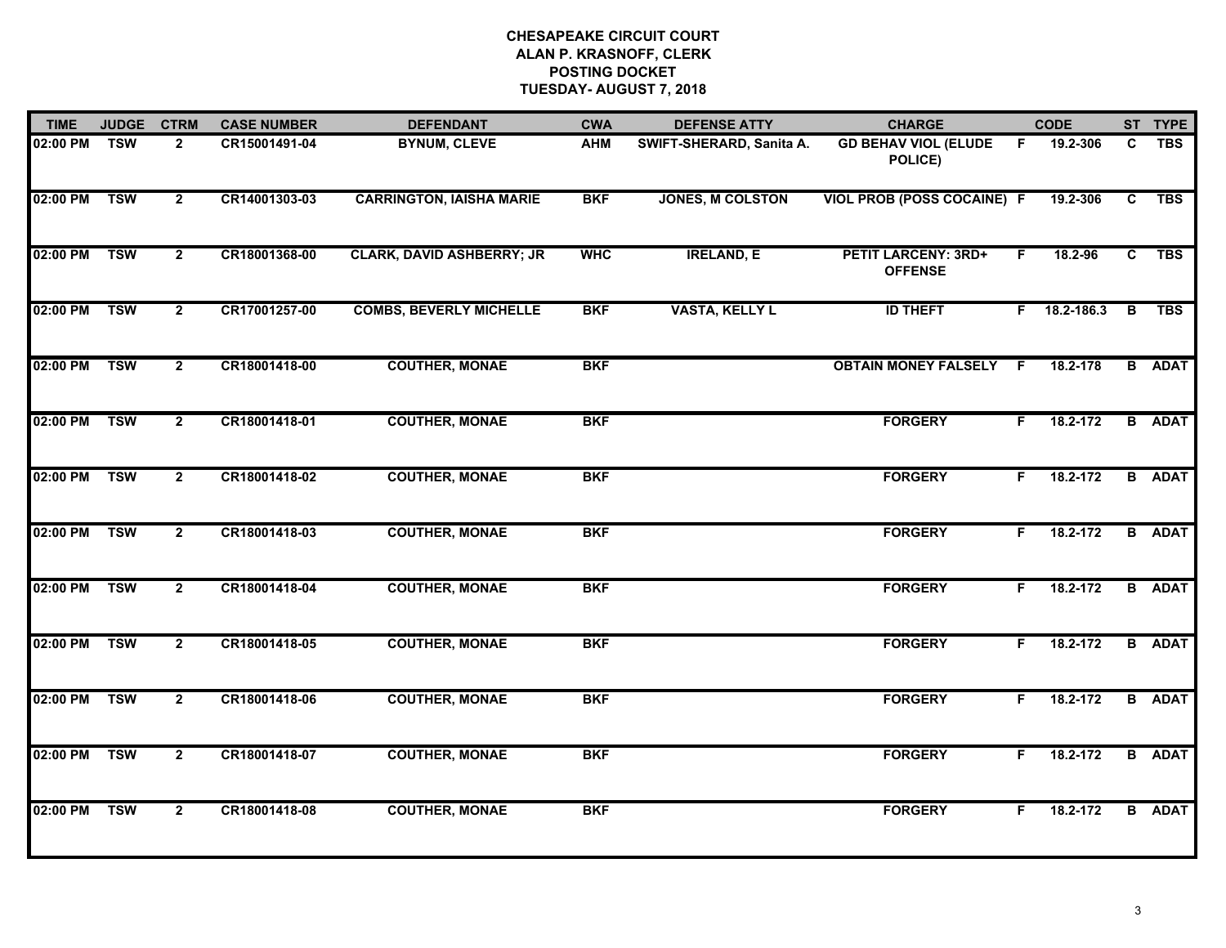| <b>TIME</b> | <b>JUDGE</b> | <b>CTRM</b>    | <b>CASE NUMBER</b> | <b>DEFENDANT</b>                 | <b>CWA</b> | <b>DEFENSE ATTY</b>      | <b>CHARGE</b>                                |    | <b>CODE</b> |    | ST TYPE       |
|-------------|--------------|----------------|--------------------|----------------------------------|------------|--------------------------|----------------------------------------------|----|-------------|----|---------------|
| 02:00 PM    | <b>TSW</b>   | $\overline{2}$ | CR15001491-04      | <b>BYNUM, CLEVE</b>              | <b>AHM</b> | SWIFT-SHERARD, Sanita A. | <b>GD BEHAV VIOL (ELUDE</b><br>POLICE)       | F. | 19.2-306    | C. | <b>TBS</b>    |
| 02:00 PM    | <b>TSW</b>   | $\overline{2}$ | CR14001303-03      | <b>CARRINGTON, IAISHA MARIE</b>  | <b>BKF</b> | <b>JONES, M COLSTON</b>  | <b>VIOL PROB (POSS COCAINE) F</b>            |    | 19.2-306    | C  | <b>TBS</b>    |
| 02:00 PM    | <b>TSW</b>   | $\overline{2}$ | CR18001368-00      | <b>CLARK, DAVID ASHBERRY; JR</b> | <b>WHC</b> | <b>IRELAND, E</b>        | <b>PETIT LARCENY: 3RD+</b><br><b>OFFENSE</b> | F. | 18.2-96     | C  | <b>TBS</b>    |
| 02:00 PM    | <b>TSW</b>   | $\mathbf{2}$   | CR17001257-00      | <b>COMBS, BEVERLY MICHELLE</b>   | <b>BKF</b> | <b>VASTA, KELLY L</b>    | <b>ID THEFT</b>                              | F. | 18.2-186.3  | B  | <b>TBS</b>    |
| 02:00 PM    | <b>TSW</b>   | $\overline{2}$ | CR18001418-00      | <b>COUTHER, MONAE</b>            | <b>BKF</b> |                          | <b>OBTAIN MONEY FALSELY</b>                  | -F | 18.2-178    |    | <b>B</b> ADAT |
| 02:00 PM    | <b>TSW</b>   | $\overline{2}$ | CR18001418-01      | <b>COUTHER, MONAE</b>            | <b>BKF</b> |                          | <b>FORGERY</b>                               | F. | 18.2-172    |    | <b>B</b> ADAT |
| 02:00 PM    | <b>TSW</b>   | $\overline{2}$ | CR18001418-02      | <b>COUTHER, MONAE</b>            | <b>BKF</b> |                          | <b>FORGERY</b>                               | F. | 18.2-172    |    | <b>B</b> ADAT |
| 02:00 PM    | <b>TSW</b>   | $\overline{2}$ | CR18001418-03      | <b>COUTHER, MONAE</b>            | <b>BKF</b> |                          | <b>FORGERY</b>                               | F. | 18.2-172    |    | <b>B</b> ADAT |
| 02:00 PM    | <b>TSW</b>   | $\overline{2}$ | CR18001418-04      | <b>COUTHER, MONAE</b>            | <b>BKF</b> |                          | <b>FORGERY</b>                               | F. | 18.2-172    |    | <b>B</b> ADAT |
| 02:00 PM    | <b>TSW</b>   | $\overline{2}$ | CR18001418-05      | <b>COUTHER, MONAE</b>            | <b>BKF</b> |                          | <b>FORGERY</b>                               | F. | 18.2-172    |    | <b>B</b> ADAT |
| 02:00 PM    | <b>TSW</b>   | $\overline{2}$ | CR18001418-06      | <b>COUTHER, MONAE</b>            | <b>BKF</b> |                          | <b>FORGERY</b>                               | F. | 18.2-172    |    | <b>B</b> ADAT |
| 02:00 PM    | <b>TSW</b>   | $\overline{2}$ | CR18001418-07      | <b>COUTHER, MONAE</b>            | <b>BKF</b> |                          | <b>FORGERY</b>                               | F. | 18.2-172    |    | <b>B</b> ADAT |
| 02:00 PM    | <b>TSW</b>   | $\overline{2}$ | CR18001418-08      | <b>COUTHER, MONAE</b>            | <b>BKF</b> |                          | <b>FORGERY</b>                               | F. | 18.2-172    |    | <b>B</b> ADAT |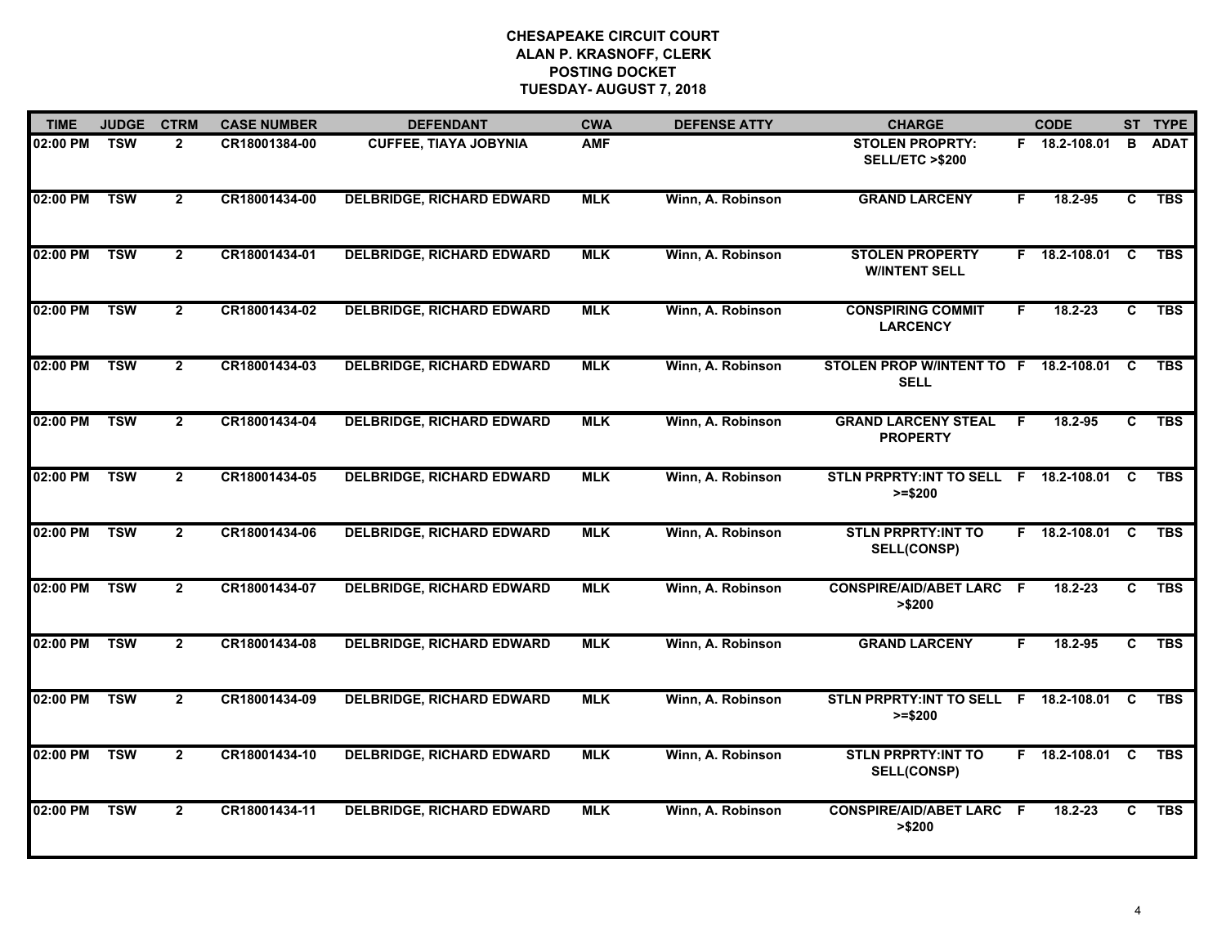| <b>TIME</b> | <b>JUDGE</b> | <b>CTRM</b>    | <b>CASE NUMBER</b> | <b>DEFENDANT</b>                 | <b>CWA</b> | <b>DEFENSE ATTY</b> | <b>CHARGE</b>                                          |    | <b>CODE</b>     |          | ST TYPE     |
|-------------|--------------|----------------|--------------------|----------------------------------|------------|---------------------|--------------------------------------------------------|----|-----------------|----------|-------------|
| 02:00 PM    | <b>TSW</b>   | $\overline{2}$ | CR18001384-00      | <b>CUFFEE, TIAYA JOBYNIA</b>     | <b>AMF</b> |                     | <b>STOLEN PROPRTY:</b><br><b>SELL/ETC &gt;\$200</b>    |    | F 18.2-108.01   | B        | <b>ADAT</b> |
| 02:00 PM    | <b>TSW</b>   | $\overline{2}$ | CR18001434-00      | <b>DELBRIDGE, RICHARD EDWARD</b> | <b>MLK</b> | Winn, A. Robinson   | <b>GRAND LARCENY</b>                                   | F. | 18.2-95         | C        | <b>TBS</b>  |
| 02:00 PM    | <b>TSW</b>   | $\mathbf{2}$   | CR18001434-01      | <b>DELBRIDGE, RICHARD EDWARD</b> | <b>MLK</b> | Winn, A. Robinson   | <b>STOLEN PROPERTY</b><br><b>WINTENT SELL</b>          |    | F 18.2-108.01   | C        | <b>TBS</b>  |
| 02:00 PM    | <b>TSW</b>   | $\mathbf{2}$   | CR18001434-02      | <b>DELBRIDGE, RICHARD EDWARD</b> | <b>MLK</b> | Winn, A. Robinson   | <b>CONSPIRING COMMIT</b><br><b>LARCENCY</b>            | F. | 18.2-23         | C        | <b>TBS</b>  |
| 02:00 PM    | <b>TSW</b>   | $\overline{2}$ | CR18001434-03      | <b>DELBRIDGE, RICHARD EDWARD</b> | <b>MLK</b> | Winn, A. Robinson   | STOLEN PROP W/INTENT TO F 18.2-108.01 C<br><b>SELL</b> |    |                 |          | <b>TBS</b>  |
| 02:00 PM    | <b>TSW</b>   | $\overline{2}$ | CR18001434-04      | <b>DELBRIDGE, RICHARD EDWARD</b> | <b>MLK</b> | Winn, A. Robinson   | <b>GRAND LARCENY STEAL</b><br><b>PROPERTY</b>          | F. | 18.2-95         | C        | <b>TBS</b>  |
| 02:00 PM    | <b>TSW</b>   | $\overline{2}$ | CR18001434-05      | <b>DELBRIDGE, RICHARD EDWARD</b> | <b>MLK</b> | Winn, A. Robinson   | STLN PRPRTY: INT TO SELL F 18.2-108.01 C<br>$>= $200$  |    |                 |          | <b>TBS</b>  |
| 02:00 PM    | <b>TSW</b>   | $\overline{2}$ | CR18001434-06      | <b>DELBRIDGE, RICHARD EDWARD</b> | <b>MLK</b> | Winn, A. Robinson   | <b>STLN PRPRTY:INT TO</b><br><b>SELL(CONSP)</b>        |    | F 18.2-108.01   | <b>C</b> | <b>TBS</b>  |
| 02:00 PM    | <b>TSW</b>   | $\overline{2}$ | CR18001434-07      | <b>DELBRIDGE, RICHARD EDWARD</b> | <b>MLK</b> | Winn, A. Robinson   | <b>CONSPIRE/AID/ABET LARC F</b><br>> \$200             |    | 18.2-23         | C        | <b>TBS</b>  |
| 02:00 PM    | <b>TSW</b>   | $\overline{2}$ | CR18001434-08      | <b>DELBRIDGE, RICHARD EDWARD</b> | <b>MLK</b> | Winn, A. Robinson   | <b>GRAND LARCENY</b>                                   | F  | 18.2-95         | C        | <b>TBS</b>  |
| 02:00 PM    | <b>TSW</b>   | $\mathbf{2}$   | CR18001434-09      | <b>DELBRIDGE, RICHARD EDWARD</b> | <b>MLK</b> | Winn, A. Robinson   | STLN PRPRTY:INT TO SELL F 18.2-108.01 C<br>$>= $200$   |    |                 |          | <b>TBS</b>  |
| 02:00 PM    | <b>TSW</b>   | $\overline{2}$ | CR18001434-10      | <b>DELBRIDGE, RICHARD EDWARD</b> | <b>MLK</b> | Winn, A. Robinson   | <b>STLN PRPRTY:INT TO</b><br><b>SELL(CONSP)</b>        |    | F 18.2-108.01 C |          | <b>TBS</b>  |
| 02:00 PM    | <b>TSW</b>   | $\overline{2}$ | CR18001434-11      | <b>DELBRIDGE, RICHARD EDWARD</b> | <b>MLK</b> | Winn, A. Robinson   | <b>CONSPIRE/AID/ABET LARC F</b><br>> \$200             |    | 18.2-23         | C        | <b>TBS</b>  |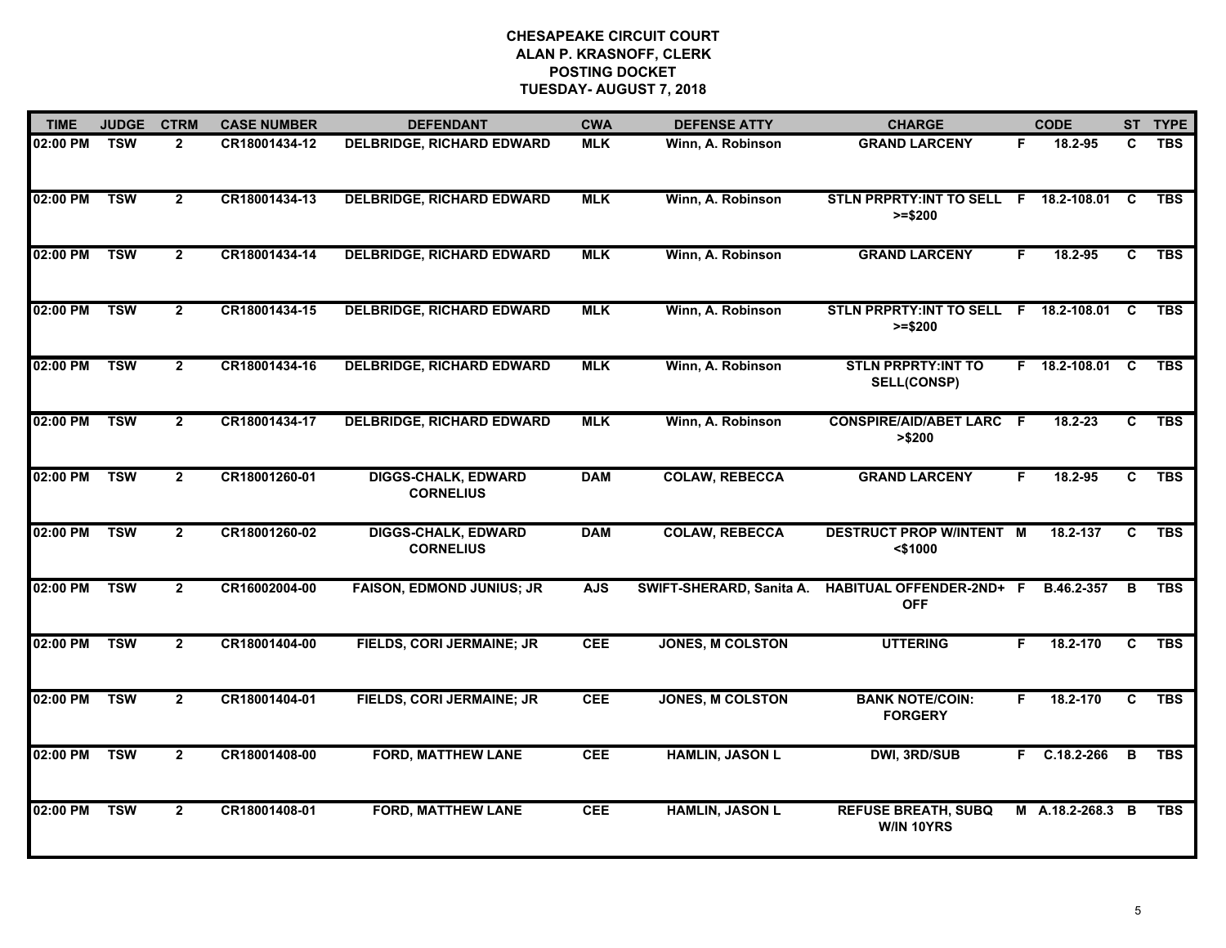| <b>TIME</b> | <b>JUDGE</b> | <b>CTRM</b>    | <b>CASE NUMBER</b> | <b>DEFENDANT</b>                               | <b>CWA</b> | <b>DEFENSE ATTY</b>      | <b>CHARGE</b>                                         |    | <b>CODE</b>      |                         | ST TYPE    |
|-------------|--------------|----------------|--------------------|------------------------------------------------|------------|--------------------------|-------------------------------------------------------|----|------------------|-------------------------|------------|
| 02:00 PM    | <b>TSW</b>   | $\overline{2}$ | CR18001434-12      | <b>DELBRIDGE, RICHARD EDWARD</b>               | <b>MLK</b> | Winn, A. Robinson        | <b>GRAND LARCENY</b>                                  | F. | 18.2-95          | C                       | <b>TBS</b> |
| 02:00 PM    | <b>TSW</b>   | $\overline{2}$ | CR18001434-13      | <b>DELBRIDGE, RICHARD EDWARD</b>               | <b>MLK</b> | Winn, A. Robinson        | STLN PRPRTY: INT TO SELL F 18.2-108.01 C<br>$>= $200$ |    |                  |                         | <b>TBS</b> |
| 02:00 PM    | <b>TSW</b>   | $\overline{2}$ | CR18001434-14      | <b>DELBRIDGE, RICHARD EDWARD</b>               | <b>MLK</b> | Winn, A. Robinson        | <b>GRAND LARCENY</b>                                  | F  | 18.2-95          | $\overline{c}$          | <b>TBS</b> |
| 02:00 PM    | <b>TSW</b>   | $\mathbf{2}$   | CR18001434-15      | <b>DELBRIDGE, RICHARD EDWARD</b>               | <b>MLK</b> | Winn, A. Robinson        | STLN PRPRTY: INT TO SELL F<br>$>= $200$               |    | 18.2-108.01      | C                       | <b>TBS</b> |
| 02:00 PM    | <b>TSW</b>   | $\mathbf{2}$   | CR18001434-16      | <b>DELBRIDGE, RICHARD EDWARD</b>               | <b>MLK</b> | Winn, A. Robinson        | <b>STLN PRPRTY:INT TO</b><br><b>SELL(CONSP)</b>       |    | F 18.2-108.01    | C                       | <b>TBS</b> |
| 02:00 PM    | <b>TSW</b>   | $\mathbf{2}$   | CR18001434-17      | <b>DELBRIDGE, RICHARD EDWARD</b>               | <b>MLK</b> | Winn, A. Robinson        | <b>CONSPIRE/AID/ABET LARC F</b><br>> \$200            |    | 18.2-23          | C.                      | <b>TBS</b> |
| 02:00 PM    | <b>TSW</b>   | $\overline{2}$ | CR18001260-01      | <b>DIGGS-CHALK, EDWARD</b><br><b>CORNELIUS</b> | <b>DAM</b> | <b>COLAW, REBECCA</b>    | <b>GRAND LARCENY</b>                                  | F. | 18.2-95          | $\overline{\mathsf{c}}$ | <b>TBS</b> |
| 02:00 PM    | <b>TSW</b>   | $\overline{2}$ | CR18001260-02      | <b>DIGGS-CHALK, EDWARD</b><br><b>CORNELIUS</b> | <b>DAM</b> | <b>COLAW, REBECCA</b>    | <b>DESTRUCT PROP W/INTENT M</b><br>$<$ \$1000         |    | 18.2-137         | C                       | <b>TBS</b> |
| 02:00 PM    | <b>TSW</b>   | $\overline{2}$ | CR16002004-00      | <b>FAISON, EDMOND JUNIUS; JR</b>               | <b>AJS</b> | SWIFT-SHERARD, Sanita A. | HABITUAL OFFENDER-2ND+ F<br><b>OFF</b>                |    | B.46.2-357       | B                       | <b>TBS</b> |
| 02:00 PM    | <b>TSW</b>   | $\mathbf{2}$   | CR18001404-00      | FIELDS, CORI JERMAINE; JR                      | CEE        | <b>JONES, M COLSTON</b>  | <b>UTTERING</b>                                       | F. | 18.2-170         | C                       | <b>TBS</b> |
| 02:00 PM    | <b>TSW</b>   | $\overline{2}$ | CR18001404-01      | FIELDS, CORI JERMAINE; JR                      | <b>CEE</b> | <b>JONES, M COLSTON</b>  | <b>BANK NOTE/COIN:</b><br><b>FORGERY</b>              | F. | 18.2-170         | $\overline{\mathbf{c}}$ | <b>TBS</b> |
| 02:00 PM    | <b>TSW</b>   | $\overline{2}$ | CR18001408-00      | <b>FORD, MATTHEW LANE</b>                      | <b>CEE</b> | <b>HAMLIN, JASON L</b>   | <b>DWI, 3RD/SUB</b>                                   |    | $F$ C.18.2-266   | $\overline{B}$          | <b>TBS</b> |
| 02:00 PM    | <b>TSW</b>   | $\mathbf{2}$   | CR18001408-01      | <b>FORD, MATTHEW LANE</b>                      | CEE        | <b>HAMLIN, JASON L</b>   | <b>REFUSE BREATH, SUBQ</b><br><b>W/IN 10YRS</b>       |    | M A.18.2-268.3 B |                         | <b>TBS</b> |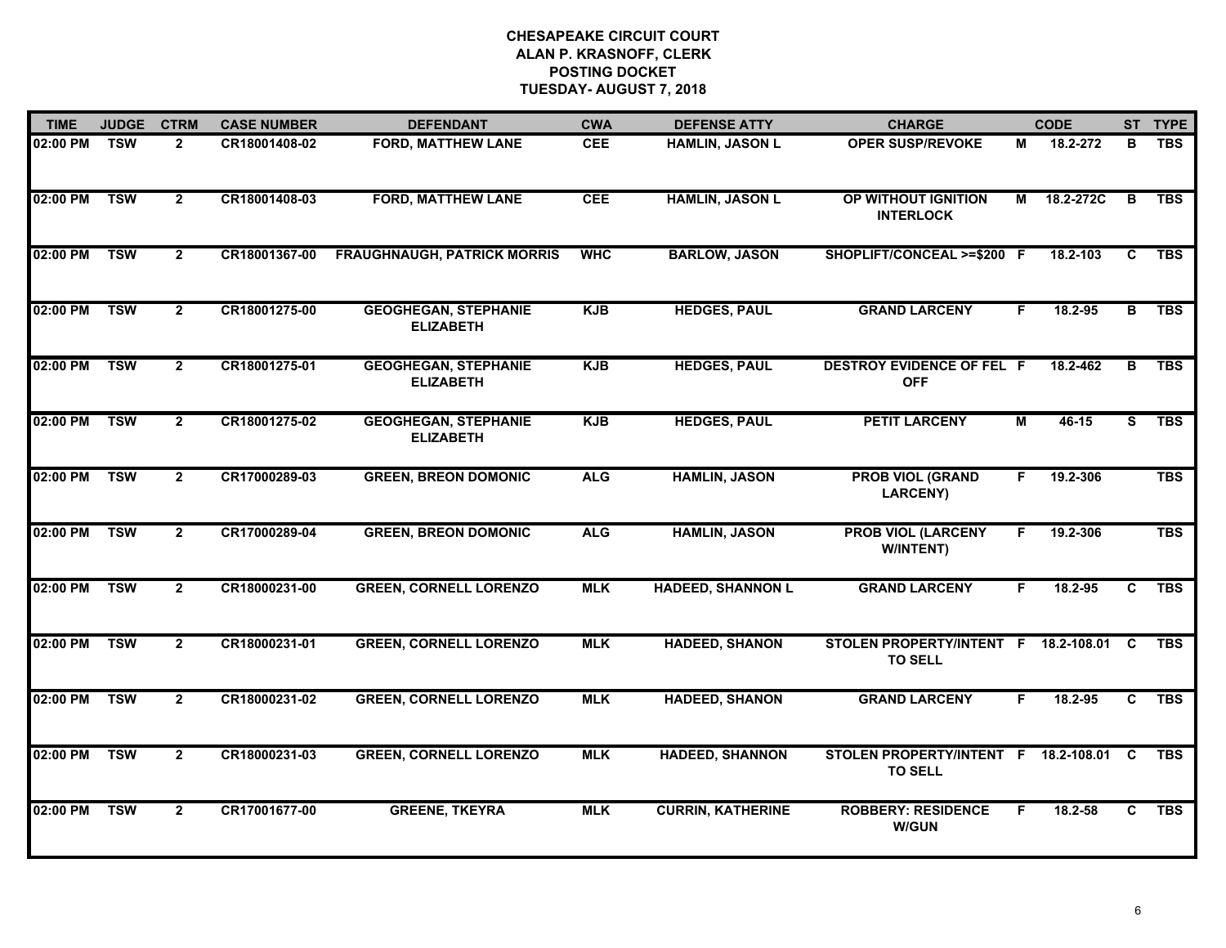| <b>TIME</b> | <b>JUDGE</b> | <b>CTRM</b>    | <b>CASE NUMBER</b> | <b>DEFENDANT</b>                                | <b>CWA</b> | <b>DEFENSE ATTY</b>      | <b>CHARGE</b>                                          |    | <b>CODE</b> |                | ST TYPE    |
|-------------|--------------|----------------|--------------------|-------------------------------------------------|------------|--------------------------|--------------------------------------------------------|----|-------------|----------------|------------|
| 02:00 PM    | <b>TSW</b>   | $\overline{2}$ | CR18001408-02      | <b>FORD, MATTHEW LANE</b>                       | <b>CEE</b> | <b>HAMLIN, JASON L</b>   | <b>OPER SUSP/REVOKE</b>                                | М  | 18.2-272    | в              | <b>TBS</b> |
| 02:00 PM    | <b>TSW</b>   | $\overline{2}$ | CR18001408-03      | <b>FORD, MATTHEW LANE</b>                       | <b>CEE</b> | <b>HAMLIN, JASON L</b>   | OP WITHOUT IGNITION<br><b>INTERLOCK</b>                | М  | 18.2-272C   | B              | <b>TBS</b> |
| 02:00 PM    | <b>TSW</b>   | $\overline{2}$ | CR18001367-00      | <b>FRAUGHNAUGH, PATRICK MORRIS</b>              | <b>WHC</b> | <b>BARLOW, JASON</b>     | SHOPLIFT/CONCEAL >=\$200 F                             |    | 18.2-103    | $\overline{c}$ | <b>TBS</b> |
| 02:00 PM    | <b>TSW</b>   | $\overline{2}$ | CR18001275-00      | <b>GEOGHEGAN, STEPHANIE</b><br><b>ELIZABETH</b> | <b>KJB</b> | <b>HEDGES, PAUL</b>      | <b>GRAND LARCENY</b>                                   | F. | 18.2-95     | в              | <b>TBS</b> |
| 02:00 PM    | <b>TSW</b>   | $\overline{2}$ | CR18001275-01      | <b>GEOGHEGAN, STEPHANIE</b><br><b>ELIZABETH</b> | <b>KJB</b> | <b>HEDGES, PAUL</b>      | <b>DESTROY EVIDENCE OF FEL F</b><br><b>OFF</b>         |    | 18.2-462    | $\overline{B}$ | <b>TBS</b> |
| 02:00 PM    | <b>TSW</b>   | $\overline{2}$ | CR18001275-02      | <b>GEOGHEGAN, STEPHANIE</b><br><b>ELIZABETH</b> | <b>KJB</b> | <b>HEDGES, PAUL</b>      | <b>PETIT LARCENY</b>                                   | М  | $46 - 15$   | S.             | <b>TBS</b> |
| 02:00 PM    | <b>TSW</b>   | $\overline{2}$ | CR17000289-03      | <b>GREEN, BREON DOMONIC</b>                     | <b>ALG</b> | <b>HAMLIN, JASON</b>     | <b>PROB VIOL (GRAND</b><br><b>LARCENY)</b>             | F. | 19.2-306    |                | <b>TBS</b> |
| 02:00 PM    | <b>TSW</b>   | $\overline{2}$ | CR17000289-04      | <b>GREEN, BREON DOMONIC</b>                     | <b>ALG</b> | <b>HAMLIN, JASON</b>     | <b>PROB VIOL (LARCENY</b><br>W/INTENT)                 | F. | 19.2-306    |                | <b>TBS</b> |
| 02:00 PM    | <b>TSW</b>   | $\overline{2}$ | CR18000231-00      | <b>GREEN, CORNELL LORENZO</b>                   | <b>MLK</b> | <b>HADEED, SHANNON L</b> | <b>GRAND LARCENY</b>                                   | F  | 18.2-95     | C              | <b>TBS</b> |
| 02:00 PM    | <b>TSW</b>   | $\overline{2}$ | CR18000231-01      | <b>GREEN, CORNELL LORENZO</b>                   | <b>MLK</b> | <b>HADEED, SHANON</b>    | STOLEN PROPERTY/INTENT F 18.2-108.01<br><b>TO SELL</b> |    |             | <b>C</b>       | <b>TBS</b> |
| 02:00 PM    | <b>TSW</b>   | $\overline{2}$ | CR18000231-02      | <b>GREEN, CORNELL LORENZO</b>                   | <b>MLK</b> | <b>HADEED, SHANON</b>    | <b>GRAND LARCENY</b>                                   | F. | 18.2-95     | $\overline{c}$ | <b>TBS</b> |
| 02:00 PM    | <b>TSW</b>   | $\overline{2}$ | CR18000231-03      | <b>GREEN, CORNELL LORENZO</b>                   | <b>MLK</b> | <b>HADEED, SHANNON</b>   | STOLEN PROPERTY/INTENT F 18.2-108.01<br><b>TO SELL</b> |    |             | <b>C</b>       | <b>TBS</b> |
| 02:00 PM    | <b>TSW</b>   | $\overline{2}$ | CR17001677-00      | <b>GREENE, TKEYRA</b>                           | <b>MLK</b> | <b>CURRIN, KATHERINE</b> | <b>ROBBERY: RESIDENCE</b><br><b>W/GUN</b>              | F. | $18.2 - 58$ | C.             | <b>TBS</b> |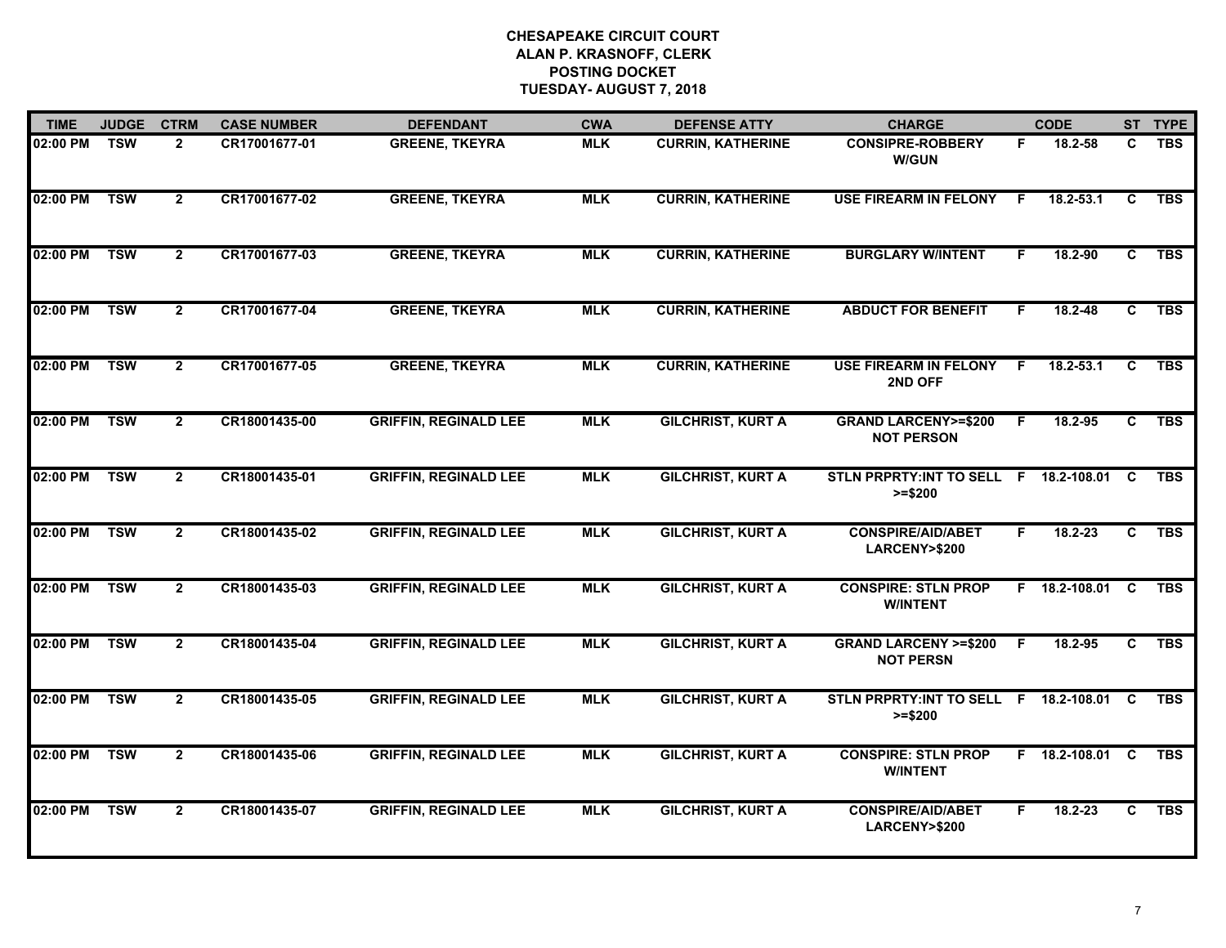| <b>TIME</b> | <b>JUDGE</b> | <b>CTRM</b>    | <b>CASE NUMBER</b> | <b>DEFENDANT</b>             | <b>CWA</b> | <b>DEFENSE ATTY</b>      | <b>CHARGE</b>                                         |    | <b>CODE</b>     |                | ST TYPE    |
|-------------|--------------|----------------|--------------------|------------------------------|------------|--------------------------|-------------------------------------------------------|----|-----------------|----------------|------------|
| 02:00 PM    | <b>TSW</b>   | $\overline{2}$ | CR17001677-01      | <b>GREENE, TKEYRA</b>        | <b>MLK</b> | <b>CURRIN, KATHERINE</b> | <b>CONSIPRE-ROBBERY</b><br><b>W/GUN</b>               | F  | 18.2-58         | C              | <b>TBS</b> |
| 02:00 PM    | <b>TSW</b>   | $\overline{2}$ | CR17001677-02      | <b>GREENE, TKEYRA</b>        | <b>MLK</b> | <b>CURRIN, KATHERINE</b> | <b>USE FIREARM IN FELONY</b>                          | -F | $18.2 - 53.1$   | C              | <b>TBS</b> |
| 02:00 PM    | <b>TSW</b>   | $\overline{2}$ | CR17001677-03      | <b>GREENE, TKEYRA</b>        | <b>MLK</b> | <b>CURRIN, KATHERINE</b> | <b>BURGLARY W/INTENT</b>                              | F. | 18.2-90         | $\overline{c}$ | <b>TBS</b> |
| 02:00 PM    | <b>TSW</b>   | $\overline{2}$ | CR17001677-04      | <b>GREENE, TKEYRA</b>        | <b>MLK</b> | <b>CURRIN, KATHERINE</b> | <b>ABDUCT FOR BENEFIT</b>                             | F  | $18.2 - 48$     | C.             | <b>TBS</b> |
| 02:00 PM    | <b>TSW</b>   | $\overline{2}$ | CR17001677-05      | <b>GREENE, TKEYRA</b>        | <b>MLK</b> | <b>CURRIN, KATHERINE</b> | <b>USE FIREARM IN FELONY</b><br>2ND OFF               | F. | $18.2 - 53.1$   | C              | <b>TBS</b> |
| 02:00 PM    | <b>TSW</b>   | $\overline{2}$ | CR18001435-00      | <b>GRIFFIN, REGINALD LEE</b> | <b>MLK</b> | <b>GILCHRIST, KURT A</b> | <b>GRAND LARCENY&gt;=\$200</b><br><b>NOT PERSON</b>   | F. | 18.2-95         | C              | <b>TBS</b> |
| 02:00 PM    | <b>TSW</b>   | $\overline{2}$ | CR18001435-01      | <b>GRIFFIN, REGINALD LEE</b> | <b>MLK</b> | <b>GILCHRIST, KURT A</b> | STLN PRPRTY: INT TO SELL F 18.2-108.01 C<br>$>= $200$ |    |                 |                | <b>TBS</b> |
| 02:00 PM    | <b>TSW</b>   | $\overline{2}$ | CR18001435-02      | <b>GRIFFIN, REGINALD LEE</b> | <b>MLK</b> | <b>GILCHRIST, KURT A</b> | <b>CONSPIRE/AID/ABET</b><br>LARCENY>\$200             | F. | $18.2 - 23$     | C              | <b>TBS</b> |
| 02:00 PM    | <b>TSW</b>   | $\overline{2}$ | CR18001435-03      | <b>GRIFFIN, REGINALD LEE</b> | <b>MLK</b> | <b>GILCHRIST, KURT A</b> | <b>CONSPIRE: STLN PROP</b><br><b>W/INTENT</b>         |    | F 18.2-108.01   | <b>C</b>       | <b>TBS</b> |
| 02:00 PM    | <b>TSW</b>   | $\overline{2}$ | CR18001435-04      | <b>GRIFFIN, REGINALD LEE</b> | <b>MLK</b> | <b>GILCHRIST, KURT A</b> | <b>GRAND LARCENY &gt;=\$200</b><br><b>NOT PERSN</b>   | F. | 18.2-95         | C              | <b>TBS</b> |
| 02:00 PM    | <b>TSW</b>   | $\overline{2}$ | CR18001435-05      | <b>GRIFFIN, REGINALD LEE</b> | <b>MLK</b> | <b>GILCHRIST, KURT A</b> | STLN PRPRTY: INT TO SELL F 18.2-108.01 C<br>$>= $200$ |    |                 |                | <b>TBS</b> |
| 02:00 PM    | <b>TSW</b>   | $\overline{2}$ | CR18001435-06      | <b>GRIFFIN, REGINALD LEE</b> | <b>MLK</b> | <b>GILCHRIST, KURT A</b> | <b>CONSPIRE: STLN PROP</b><br><b>W/INTENT</b>         |    | F 18.2-108.01 C |                | <b>TBS</b> |
| 02:00 PM    | <b>TSW</b>   | $\overline{2}$ | CR18001435-07      | <b>GRIFFIN, REGINALD LEE</b> | <b>MLK</b> | <b>GILCHRIST, KURT A</b> | <b>CONSPIRE/AID/ABET</b><br>LARCENY>\$200             | F. | $18.2 - 23$     | C              | <b>TBS</b> |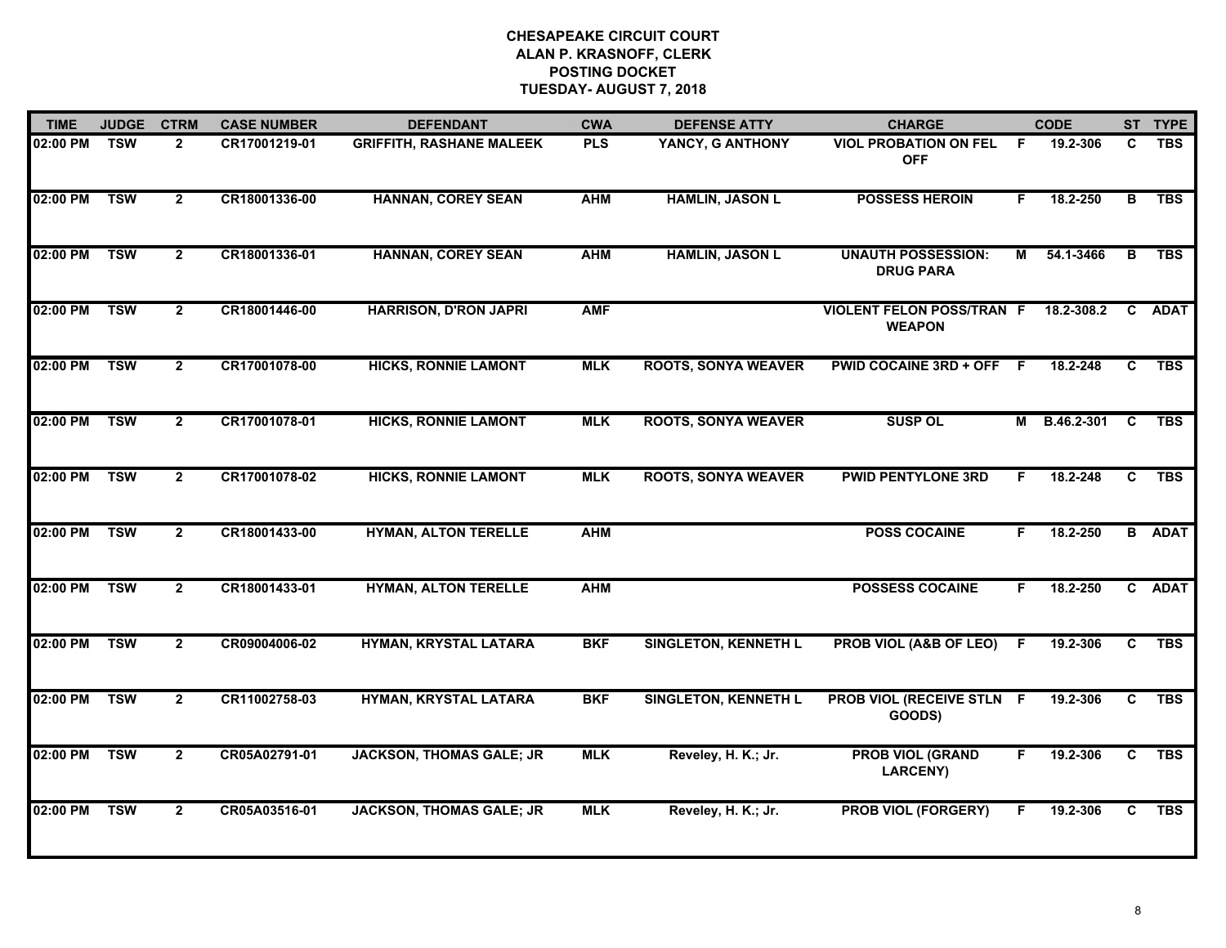| <b>TIME</b> | <b>JUDGE</b> | <b>CTRM</b>    | <b>CASE NUMBER</b> | <b>DEFENDANT</b>                | <b>CWA</b> | <b>DEFENSE ATTY</b>         | <b>CHARGE</b>                                     |    | <b>CODE</b>  |    | ST TYPE       |
|-------------|--------------|----------------|--------------------|---------------------------------|------------|-----------------------------|---------------------------------------------------|----|--------------|----|---------------|
| 02:00 PM    | <b>TSW</b>   | $\overline{2}$ | CR17001219-01      | <b>GRIFFITH, RASHANE MALEEK</b> | <b>PLS</b> | YANCY, G ANTHONY            | <b>VIOL PROBATION ON FEL</b><br><b>OFF</b>        | -F | 19.2-306     | C  | <b>TBS</b>    |
| 02:00 PM    | <b>TSW</b>   | $\overline{2}$ | CR18001336-00      | <b>HANNAN, COREY SEAN</b>       | <b>AHM</b> | <b>HAMLIN, JASON L</b>      | <b>POSSESS HEROIN</b>                             | E  | 18.2-250     | в  | <b>TBS</b>    |
| 02:00 PM    | <b>TSW</b>   | $\overline{2}$ | CR18001336-01      | <b>HANNAN, COREY SEAN</b>       | <b>AHM</b> | <b>HAMLIN, JASON L</b>      | <b>UNAUTH POSSESSION:</b><br><b>DRUG PARA</b>     | М  | 54.1-3466    | B. | <b>TBS</b>    |
| 02:00 PM    | <b>TSW</b>   | $\mathbf{2}$   | CR18001446-00      | <b>HARRISON, D'RON JAPRI</b>    | <b>AMF</b> |                             | <b>VIOLENT FELON POSS/TRAN F</b><br><b>WEAPON</b> |    | 18.2-308.2   | C. | <b>ADAT</b>   |
| 02:00 PM    | <b>TSW</b>   | $\mathbf{2}$   | CR17001078-00      | <b>HICKS, RONNIE LAMONT</b>     | <b>MLK</b> | <b>ROOTS, SONYA WEAVER</b>  | <b>PWID COCAINE 3RD + OFF</b>                     | -F | 18.2-248     | C  | <b>TBS</b>    |
| 02:00 PM    | <b>TSW</b>   | $\mathbf{2}$   | CR17001078-01      | <b>HICKS, RONNIE LAMONT</b>     | <b>MLK</b> | <b>ROOTS, SONYA WEAVER</b>  | <b>SUSP OL</b>                                    |    | M B.46.2-301 | C  | <b>TBS</b>    |
| 02:00 PM    | <b>TSW</b>   | $\overline{2}$ | CR17001078-02      | <b>HICKS, RONNIE LAMONT</b>     | <b>MLK</b> | <b>ROOTS, SONYA WEAVER</b>  | <b>PWID PENTYLONE 3RD</b>                         | F. | 18.2-248     | C  | <b>TBS</b>    |
| 02:00 PM    | <b>TSW</b>   | $\overline{2}$ | CR18001433-00      | <b>HYMAN, ALTON TERELLE</b>     | <b>AHM</b> |                             | <b>POSS COCAINE</b>                               | F  | 18.2-250     |    | <b>B</b> ADAT |
| 02:00 PM    | <b>TSW</b>   | $\overline{2}$ | CR18001433-01      | <b>HYMAN, ALTON TERELLE</b>     | <b>AHM</b> |                             | <b>POSSESS COCAINE</b>                            | F  | 18.2-250     |    | C ADAT        |
| 02:00 PM    | <b>TSW</b>   | $\mathbf{2}$   | CR09004006-02      | HYMAN, KRYSTAL LATARA           | <b>BKF</b> | <b>SINGLETON, KENNETH L</b> | PROB VIOL (A&B OF LEO)                            | -F | 19.2-306     | C  | <b>TBS</b>    |
| 02:00 PM    | <b>TSW</b>   | $\overline{2}$ | CR11002758-03      | HYMAN, KRYSTAL LATARA           | <b>BKF</b> | <b>SINGLETON, KENNETH L</b> | PROB VIOL (RECEIVE STLN F<br>GOODS)               |    | 19.2-306     | C. | <b>TBS</b>    |
| 02:00 PM    | <b>TSW</b>   | $\overline{2}$ | CR05A02791-01      | <b>JACKSON, THOMAS GALE; JR</b> | <b>MLK</b> | Reveley, H. K.; Jr.         | <b>PROB VIOL (GRAND</b><br><b>LARCENY)</b>        | F. | 19.2-306     | C  | <b>TBS</b>    |
| 02:00 PM    | <b>TSW</b>   | $\overline{2}$ | CR05A03516-01      | <b>JACKSON, THOMAS GALE; JR</b> | <b>MLK</b> | Reveley, H. K.; Jr.         | <b>PROB VIOL (FORGERY)</b>                        |    | 19.2-306     | C. | <b>TBS</b>    |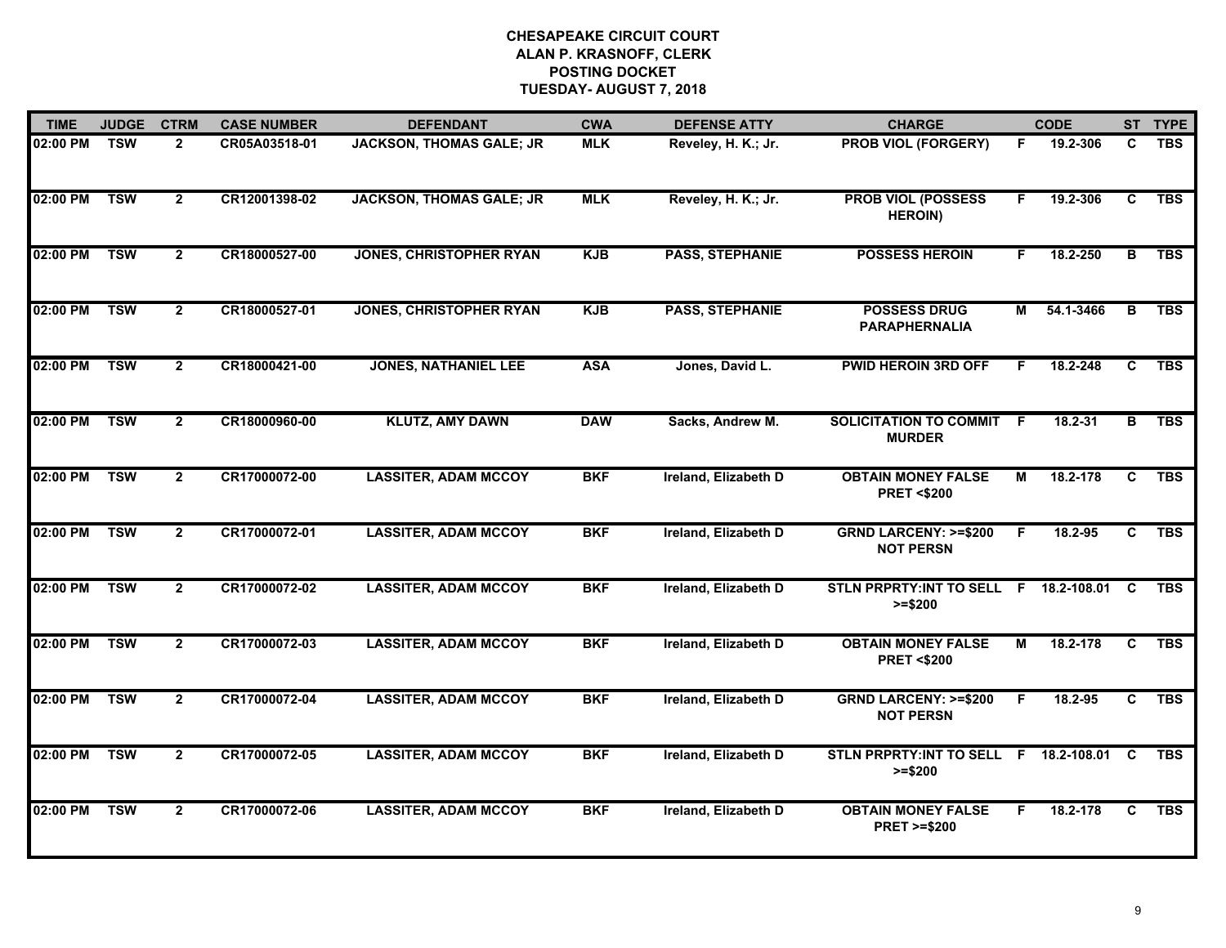| <b>TIME</b>  | <b>JUDGE</b> | <b>CTRM</b>    | <b>CASE NUMBER</b> | <b>DEFENDANT</b>                | <b>CWA</b> | <b>DEFENSE ATTY</b>         | <b>CHARGE</b>                                       |    | <b>CODE</b>   |                         | ST TYPE    |
|--------------|--------------|----------------|--------------------|---------------------------------|------------|-----------------------------|-----------------------------------------------------|----|---------------|-------------------------|------------|
| 02:00 PM     | <b>TSW</b>   | $\overline{2}$ | CR05A03518-01      | <b>JACKSON, THOMAS GALE; JR</b> | <b>MLK</b> | Reveley, H. K.; Jr.         | <b>PROB VIOL (FORGERY)</b>                          | F. | 19.2-306      | C                       | <b>TBS</b> |
| 02:00 PM     | <b>TSW</b>   | $\mathbf{2}$   | CR12001398-02      | <b>JACKSON, THOMAS GALE; JR</b> | <b>MLK</b> | Reveley, H. K.; Jr.         | <b>PROB VIOL (POSSESS</b><br><b>HEROIN)</b>         | F. | 19.2-306      | C                       | <b>TBS</b> |
| 02:00 PM     | <b>TSW</b>   | $\overline{2}$ | CR18000527-00      | <b>JONES, CHRISTOPHER RYAN</b>  | <b>KJB</b> | <b>PASS, STEPHANIE</b>      | <b>POSSESS HEROIN</b>                               | F. | 18.2-250      | $\overline{\mathbf{B}}$ | <b>TBS</b> |
| 02:00 PM     | <b>TSW</b>   | $\overline{2}$ | CR18000527-01      | <b>JONES, CHRISTOPHER RYAN</b>  | <b>KJB</b> | <b>PASS, STEPHANIE</b>      | <b>POSSESS DRUG</b><br><b>PARAPHERNALIA</b>         | М  | 54.1-3466     | B.                      | <b>TBS</b> |
| 02:00 PM     | <b>TSW</b>   | $\overline{2}$ | CR18000421-00      | <b>JONES, NATHANIEL LEE</b>     | <b>ASA</b> | Jones, David L.             | <b>PWID HEROIN 3RD OFF</b>                          |    | 18.2-248      | C                       | <b>TBS</b> |
| 02:00 PM     | <b>TSW</b>   | $\overline{2}$ | CR18000960-00      | <b>KLUTZ, AMY DAWN</b>          | <b>DAW</b> | Sacks, Andrew M.            | <b>SOLICITATION TO COMMIT F</b><br><b>MURDER</b>    |    | 18.2-31       | $\overline{B}$          | <b>TBS</b> |
| 02:00 PM     | <b>TSW</b>   | $\overline{2}$ | CR17000072-00      | <b>LASSITER, ADAM MCCOY</b>     | <b>BKF</b> | <b>Ireland, Elizabeth D</b> | <b>OBTAIN MONEY FALSE</b><br><b>PRET &lt;\$200</b>  | М  | 18.2-178      | C                       | <b>TBS</b> |
| 02:00 PM TSW |              | $\mathbf{2}$   | CR17000072-01      | <b>LASSITER, ADAM MCCOY</b>     | <b>BKF</b> | Ireland, Elizabeth D        | <b>GRND LARCENY: &gt;=\$200</b><br><b>NOT PERSN</b> | F. | 18.2-95       | C                       | <b>TBS</b> |
| 02:00 PM     | <b>TSW</b>   | $\mathbf{2}$   | CR17000072-02      | <b>LASSITER, ADAM MCCOY</b>     | <b>BKF</b> | Ireland, Elizabeth D        | STLN PRPRTY: INT TO SELL F 18.2-108.01<br>$>= $200$ |    |               | <b>C</b>                | <b>TBS</b> |
| 02:00 PM     | <b>TSW</b>   | $\overline{2}$ | CR17000072-03      | <b>LASSITER, ADAM MCCOY</b>     | <b>BKF</b> | Ireland, Elizabeth D        | <b>OBTAIN MONEY FALSE</b><br><b>PRET &lt;\$200</b>  | М  | $18.2 - 178$  | C                       | <b>TBS</b> |
| 02:00 PM     | <b>TSW</b>   | $\overline{2}$ | CR17000072-04      | <b>LASSITER, ADAM MCCOY</b>     | <b>BKF</b> | Ireland, Elizabeth D        | <b>GRND LARCENY: &gt;=\$200</b><br><b>NOT PERSN</b> | F. | 18.2-95       | C                       | <b>TBS</b> |
| 02:00 PM     | <b>TSW</b>   | $\overline{2}$ | CR17000072-05      | <b>LASSITER, ADAM MCCOY</b>     | <b>BKF</b> | Ireland, Elizabeth D        | <b>STLN PRPRTY:INT TO SELL</b><br>$>= $200$         |    | F 18.2-108.01 | C                       | <b>TBS</b> |
| 02:00 PM     | <b>TSW</b>   | $\overline{2}$ | CR17000072-06      | <b>LASSITER, ADAM MCCOY</b>     | <b>BKF</b> | Ireland, Elizabeth D        | <b>OBTAIN MONEY FALSE</b><br><b>PRET &gt;=\$200</b> | F. | 18.2-178      | C                       | <b>TBS</b> |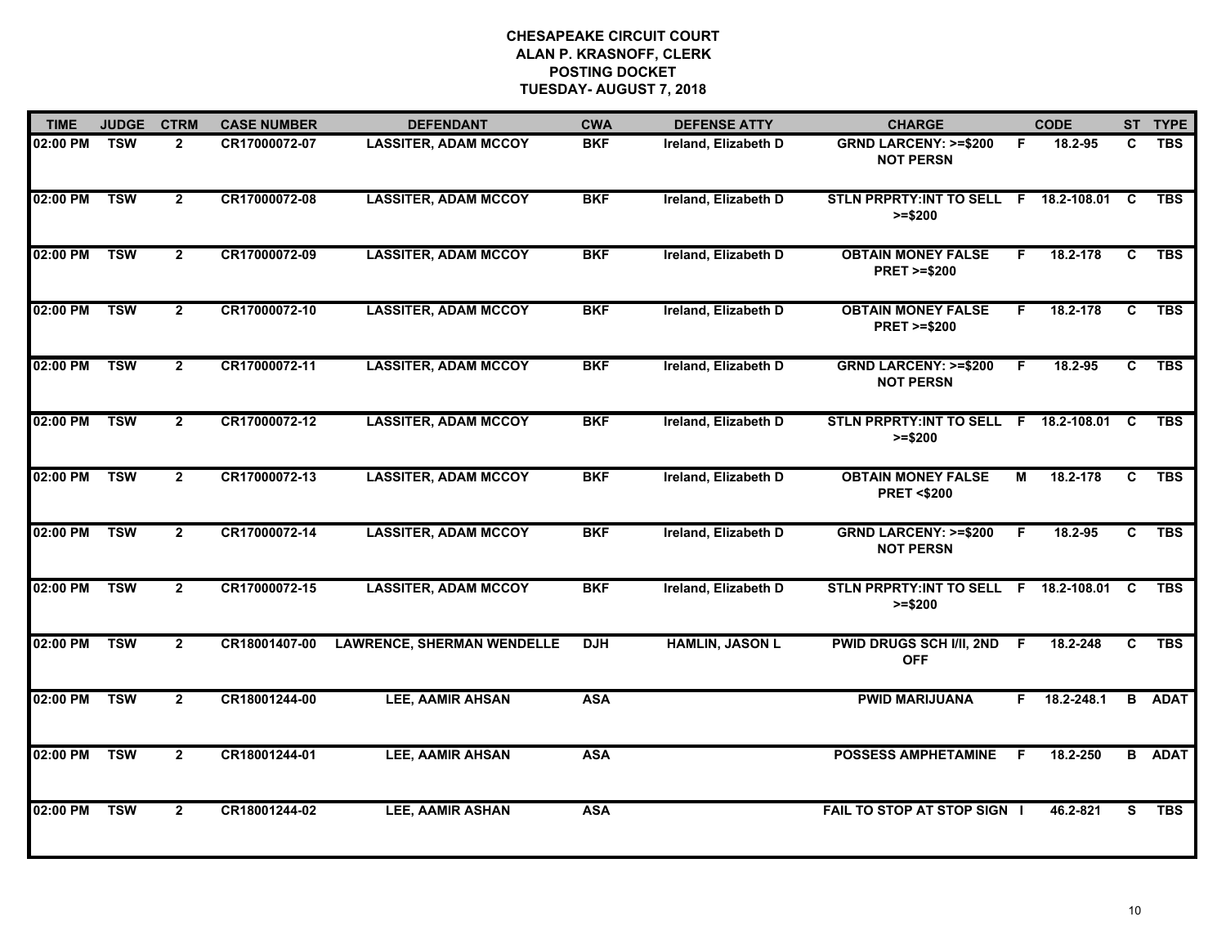| <b>TIME</b>  | <b>JUDGE</b> | <b>CTRM</b>    | <b>CASE NUMBER</b> | <b>DEFENDANT</b>                  | <b>CWA</b> | <b>DEFENSE ATTY</b>    | <b>CHARGE</b>                                         |    | <b>CODE</b>    |              | ST TYPE       |
|--------------|--------------|----------------|--------------------|-----------------------------------|------------|------------------------|-------------------------------------------------------|----|----------------|--------------|---------------|
| 02:00 PM     | <b>TSW</b>   | $\overline{2}$ | CR17000072-07      | <b>LASSITER, ADAM MCCOY</b>       | <b>BKF</b> | Ireland, Elizabeth D   | <b>GRND LARCENY: &gt;=\$200</b><br><b>NOT PERSN</b>   | F. | 18.2-95        | C            | <b>TBS</b>    |
| 02:00 PM     | <b>TSW</b>   | $\overline{2}$ | CR17000072-08      | <b>LASSITER, ADAM MCCOY</b>       | <b>BKF</b> | Ireland, Elizabeth D   | STLN PRPRTY: INT TO SELL F 18.2-108.01 C<br>$>= $200$ |    |                |              | <b>TBS</b>    |
| 02:00 PM     | <b>TSW</b>   | $\overline{2}$ | CR17000072-09      | <b>LASSITER, ADAM MCCOY</b>       | <b>BKF</b> | Ireland, Elizabeth D   | <b>OBTAIN MONEY FALSE</b><br><b>PRET &gt;=\$200</b>   | F. | 18.2-178       | C            | <b>TBS</b>    |
| 02:00 PM     | <b>TSW</b>   | $\mathbf{2}$   | CR17000072-10      | <b>LASSITER, ADAM MCCOY</b>       | <b>BKF</b> | Ireland, Elizabeth D   | <b>OBTAIN MONEY FALSE</b><br><b>PRET &gt;=\$200</b>   | F. | 18.2-178       | C.           | <b>TBS</b>    |
| 02:00 PM     | <b>TSW</b>   | $\overline{2}$ | CR17000072-11      | <b>LASSITER, ADAM MCCOY</b>       | <b>BKF</b> | Ireland, Elizabeth D   | <b>GRND LARCENY: &gt;=\$200</b><br><b>NOT PERSN</b>   | F. | 18.2-95        | C.           | <b>TBS</b>    |
| 02:00 PM     | <b>TSW</b>   | $\mathbf{2}$   | CR17000072-12      | <b>LASSITER, ADAM MCCOY</b>       | <b>BKF</b> | Ireland, Elizabeth D   | STLN PRPRTY:INT TO SELL F 18.2-108.01 C<br>$>= $200$  |    |                |              | <b>TBS</b>    |
| 02:00 PM     | <b>TSW</b>   | $\overline{2}$ | CR17000072-13      | <b>LASSITER, ADAM MCCOY</b>       | <b>BKF</b> | Ireland, Elizabeth D   | <b>OBTAIN MONEY FALSE</b><br><b>PRET &lt;\$200</b>    | М  | 18.2-178       | $\mathbf{C}$ | <b>TBS</b>    |
| 02:00 PM TSW |              | $\overline{2}$ | CR17000072-14      | <b>LASSITER, ADAM MCCOY</b>       | <b>BKF</b> | Ireland, Elizabeth D   | <b>GRND LARCENY: &gt;=\$200</b><br><b>NOT PERSN</b>   | F. | 18.2-95        | C.           | <b>TBS</b>    |
| 02:00 PM     | <b>TSW</b>   | $\overline{2}$ | CR17000072-15      | <b>LASSITER, ADAM MCCOY</b>       | <b>BKF</b> | Ireland, Elizabeth D   | STLN PRPRTY: INT TO SELL F 18.2-108.01 C<br>$>= $200$ |    |                |              | <b>TBS</b>    |
| 02:00 PM     | <b>TSW</b>   | $\overline{2}$ | CR18001407-00      | <b>LAWRENCE, SHERMAN WENDELLE</b> | <b>DJH</b> | <b>HAMLIN, JASON L</b> | <b>PWID DRUGS SCH I/II, 2ND</b><br><b>OFF</b>         | F. | 18.2-248       | C.           | <b>TBS</b>    |
| 02:00 PM     | <b>TSW</b>   | $\mathbf{2}$   | CR18001244-00      | LEE, AAMIR AHSAN                  | <b>ASA</b> |                        | <b>PWID MARIJUANA</b>                                 |    | $F$ 18.2-248.1 | B.           | <b>ADAT</b>   |
| 02:00 PM     | <b>TSW</b>   | $\overline{2}$ | CR18001244-01      | <b>LEE, AAMIR AHSAN</b>           | <b>ASA</b> |                        | <b>POSSESS AMPHETAMINE</b>                            | F. | 18.2-250       |              | <b>B</b> ADAT |
| 02:00 PM     | <b>TSW</b>   | $\overline{2}$ | CR18001244-02      | LEE, AAMIR ASHAN                  | <b>ASA</b> |                        | FAIL TO STOP AT STOP SIGN I                           |    | 46.2-821       | S.           | <b>TBS</b>    |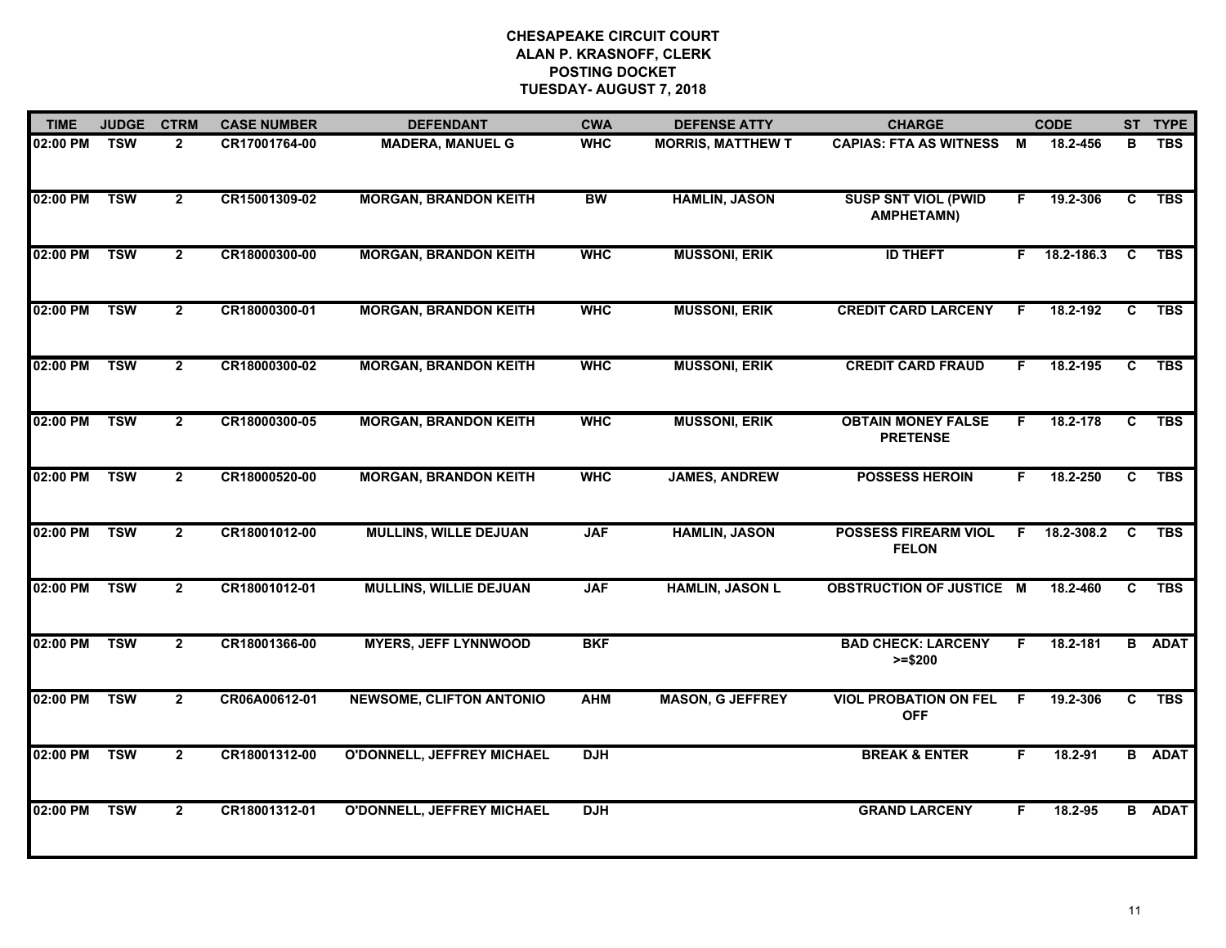| <b>TIME</b> | <b>JUDGE</b> | <b>CTRM</b>    | <b>CASE NUMBER</b> | <b>DEFENDANT</b>                  | <b>CWA</b> | <b>DEFENSE ATTY</b>      | <b>CHARGE</b>                                   |    | <b>CODE</b> |              | ST TYPE       |
|-------------|--------------|----------------|--------------------|-----------------------------------|------------|--------------------------|-------------------------------------------------|----|-------------|--------------|---------------|
| 02:00 PM    | <b>TSW</b>   | $\overline{2}$ | CR17001764-00      | <b>MADERA, MANUEL G</b>           | <b>WHC</b> | <b>MORRIS, MATTHEW T</b> | <b>CAPIAS: FTA AS WITNESS</b>                   | M  | 18.2-456    | в            | <b>TBS</b>    |
| 02:00 PM    | <b>TSW</b>   | $\overline{2}$ | CR15001309-02      | <b>MORGAN, BRANDON KEITH</b>      | <b>BW</b>  | <b>HAMLIN, JASON</b>     | <b>SUSP SNT VIOL (PWID</b><br><b>AMPHETAMN)</b> | F  | 19.2-306    | C            | <b>TBS</b>    |
| 02:00 PM    | <b>TSW</b>   | $\overline{2}$ | CR18000300-00      | <b>MORGAN, BRANDON KEITH</b>      | <b>WHC</b> | <b>MUSSONI, ERIK</b>     | <b>ID THEFT</b>                                 | F. | 18.2-186.3  | C            | <b>TBS</b>    |
| 02:00 PM    | <b>TSW</b>   | $\mathbf{2}$   | CR18000300-01      | <b>MORGAN, BRANDON KEITH</b>      | <b>WHC</b> | <b>MUSSONI, ERIK</b>     | <b>CREDIT CARD LARCENY</b>                      | F. | 18.2-192    | C            | <b>TBS</b>    |
| 02:00 PM    | <b>TSW</b>   | $\overline{2}$ | CR18000300-02      | <b>MORGAN, BRANDON KEITH</b>      | <b>WHC</b> | <b>MUSSONI, ERIK</b>     | <b>CREDIT CARD FRAUD</b>                        | F. | 18.2-195    | C            | <b>TBS</b>    |
| 02:00 PM    | <b>TSW</b>   | $\mathbf{2}$   | CR18000300-05      | <b>MORGAN, BRANDON KEITH</b>      | <b>WHC</b> | <b>MUSSONI, ERIK</b>     | <b>OBTAIN MONEY FALSE</b><br><b>PRETENSE</b>    | F. | 18.2-178    | C            | <b>TBS</b>    |
| 02:00 PM    | <b>TSW</b>   | $\overline{2}$ | CR18000520-00      | <b>MORGAN, BRANDON KEITH</b>      | <b>WHC</b> | <b>JAMES, ANDREW</b>     | <b>POSSESS HEROIN</b>                           | F. | 18.2-250    | $\mathbf{C}$ | <b>TBS</b>    |
| 02:00 PM    | TSW          | $\mathbf{2}$   | CR18001012-00      | <b>MULLINS, WILLE DEJUAN</b>      | <b>JAF</b> | <b>HAMLIN, JASON</b>     | <b>POSSESS FIREARM VIOL</b><br><b>FELON</b>     | F. | 18.2-308.2  | C            | <b>TBS</b>    |
| 02:00 PM    | <b>TSW</b>   | $\overline{2}$ | CR18001012-01      | <b>MULLINS, WILLIE DEJUAN</b>     | <b>JAF</b> | <b>HAMLIN, JASON L</b>   | <b>OBSTRUCTION OF JUSTICE M</b>                 |    | 18.2-460    | C            | <b>TBS</b>    |
| 02:00 PM    | <b>TSW</b>   | $\overline{2}$ | CR18001366-00      | <b>MYERS, JEFF LYNNWOOD</b>       | <b>BKF</b> |                          | <b>BAD CHECK: LARCENY</b><br>$>= $200$          | F. | 18.2-181    |              | <b>B</b> ADAT |
| 02:00 PM    | <b>TSW</b>   | $\overline{2}$ | CR06A00612-01      | <b>NEWSOME, CLIFTON ANTONIO</b>   | <b>AHM</b> | <b>MASON, G JEFFREY</b>  | <b>VIOL PROBATION ON FEL</b><br><b>OFF</b>      | F. | 19.2-306    | C            | <b>TBS</b>    |
| 02:00 PM    | <b>TSW</b>   | $\overline{2}$ | CR18001312-00      | <b>O'DONNELL, JEFFREY MICHAEL</b> | <b>DJH</b> |                          | <b>BREAK &amp; ENTER</b>                        | F  | 18.2-91     |              | <b>B</b> ADAT |
| 02:00 PM    | <b>TSW</b>   | $\overline{2}$ | CR18001312-01      | <b>O'DONNELL, JEFFREY MICHAEL</b> | <b>DJH</b> |                          | <b>GRAND LARCENY</b>                            | F. | 18.2-95     |              | <b>B</b> ADAT |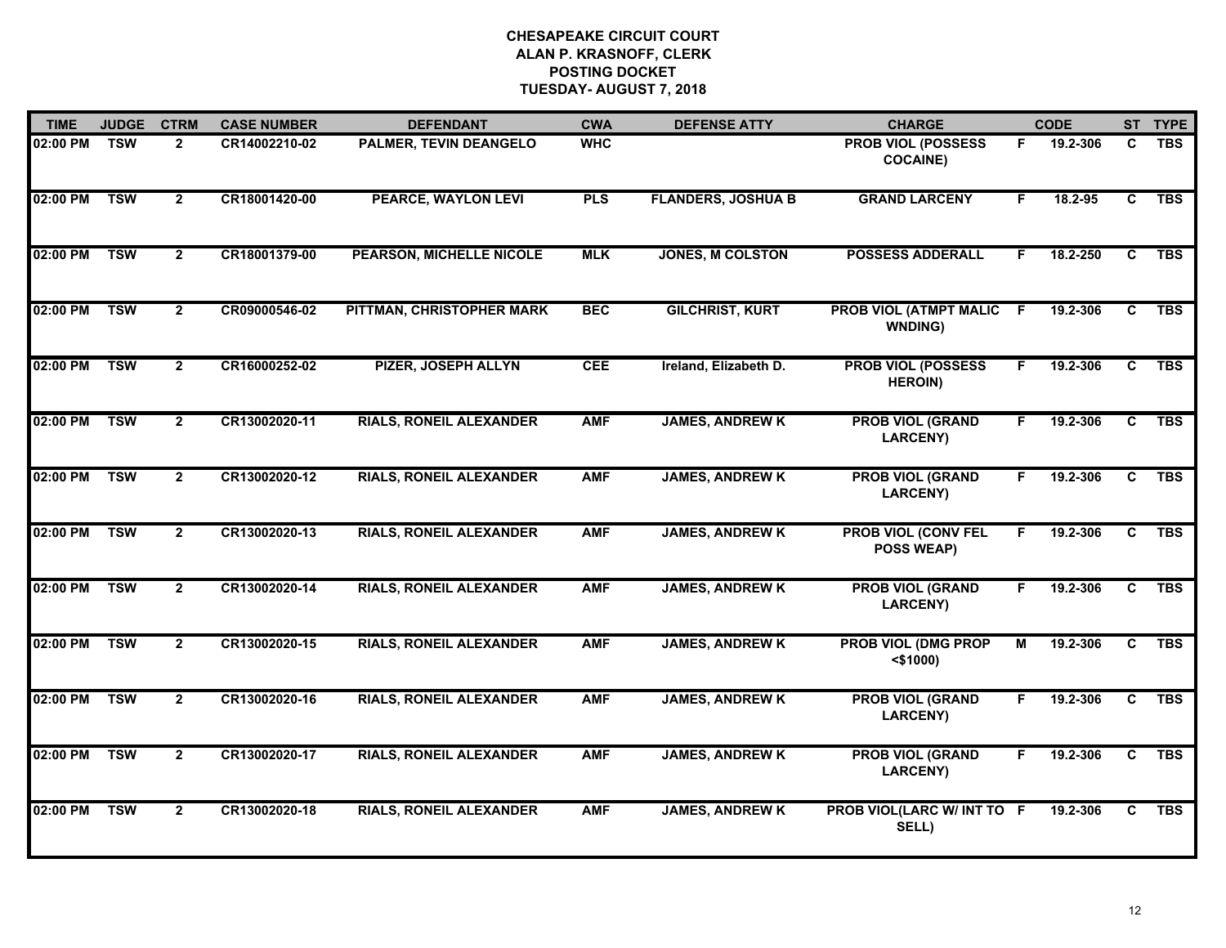| <b>TIME</b> | <b>JUDGE</b> | <b>CTRM</b>    | <b>CASE NUMBER</b> | <b>DEFENDANT</b>                | <b>CWA</b> | <b>DEFENSE ATTY</b>       | <b>CHARGE</b>                                   |    | <b>CODE</b> |                | ST TYPE    |
|-------------|--------------|----------------|--------------------|---------------------------------|------------|---------------------------|-------------------------------------------------|----|-------------|----------------|------------|
| 02:00 PM    | <b>TSW</b>   | $\overline{2}$ | CR14002210-02      | PALMER, TEVIN DEANGELO          | <b>WHC</b> |                           | <b>PROB VIOL (POSSESS</b><br><b>COCAINE)</b>    | F. | 19.2-306    | C              | <b>TBS</b> |
| 02:00 PM    | <b>TSW</b>   | $\overline{2}$ | CR18001420-00      | <b>PEARCE, WAYLON LEVI</b>      | <b>PLS</b> | <b>FLANDERS, JOSHUA B</b> | <b>GRAND LARCENY</b>                            | F  | 18.2-95     | C              | <b>TBS</b> |
| 02:00 PM    | <b>TSW</b>   | $\overline{2}$ | CR18001379-00      | <b>PEARSON, MICHELLE NICOLE</b> | <b>MLK</b> | <b>JONES, M COLSTON</b>   | <b>POSSESS ADDERALL</b>                         | F. | 18.2-250    | $\overline{c}$ | <b>TBS</b> |
| 02:00 PM    | <b>TSW</b>   | $\mathbf{2}$   | CR09000546-02      | PITTMAN, CHRISTOPHER MARK       | <b>BEC</b> | <b>GILCHRIST, KURT</b>    | <b>PROB VIOL (ATMPT MALIC</b><br><b>WNDING)</b> | -F | 19.2-306    | C              | <b>TBS</b> |
| 02:00 PM    | <b>TSW</b>   | $\overline{2}$ | CR16000252-02      | <b>PIZER, JOSEPH ALLYN</b>      | <b>CEE</b> | Ireland, Elizabeth D.     | <b>PROB VIOL (POSSESS</b><br><b>HEROIN)</b>     | F  | 19.2-306    | C              | <b>TBS</b> |
| 02:00 PM    | <b>TSW</b>   | $\mathbf{2}$   | CR13002020-11      | <b>RIALS, RONEIL ALEXANDER</b>  | <b>AMF</b> | <b>JAMES, ANDREW K</b>    | <b>PROB VIOL (GRAND</b><br><b>LARCENY)</b>      | F. | 19.2-306    | C              | <b>TBS</b> |
| 02:00 PM    | <b>TSW</b>   | $\overline{2}$ | CR13002020-12      | <b>RIALS, RONEIL ALEXANDER</b>  | <b>AMF</b> | <b>JAMES, ANDREW K</b>    | <b>PROB VIOL (GRAND</b><br><b>LARCENY)</b>      | F. | 19.2-306    | C              | <b>TBS</b> |
| 02:00 PM    | <b>TSW</b>   | $\overline{2}$ | CR13002020-13      | <b>RIALS, RONEIL ALEXANDER</b>  | <b>AMF</b> | <b>JAMES, ANDREW K</b>    | <b>PROB VIOL (CONV FEL</b><br><b>POSS WEAP)</b> | F  | 19.2-306    | C              | <b>TBS</b> |
| 02:00 PM    | <b>TSW</b>   | $\overline{2}$ | CR13002020-14      | <b>RIALS, RONEIL ALEXANDER</b>  | <b>AMF</b> | <b>JAMES, ANDREW K</b>    | <b>PROB VIOL (GRAND</b><br>LARCENY)             |    | 19.2-306    | C              | <b>TBS</b> |
| 02:00 PM    | <b>TSW</b>   | $\overline{2}$ | CR13002020-15      | <b>RIALS, RONEIL ALEXANDER</b>  | <b>AMF</b> | <b>JAMES, ANDREW K</b>    | <b>PROB VIOL (DMG PROP</b><br>$<$ \$1000)       | М  | 19.2-306    | C              | <b>TBS</b> |
| 02:00 PM    | <b>TSW</b>   | $\overline{2}$ | CR13002020-16      | <b>RIALS, RONEIL ALEXANDER</b>  | <b>AMF</b> | <b>JAMES, ANDREW K</b>    | <b>PROB VIOL (GRAND</b><br>LARCENY)             | F. | 19.2-306    | C              | <b>TBS</b> |
| 02:00 PM    | <b>TSW</b>   | $\overline{2}$ | CR13002020-17      | <b>RIALS, RONEIL ALEXANDER</b>  | <b>AMF</b> | <b>JAMES, ANDREW K</b>    | <b>PROB VIOL (GRAND</b><br>LARCENY)             | F. | 19.2-306    | $\overline{c}$ | <b>TBS</b> |
| 02:00 PM    | <b>TSW</b>   | $\overline{2}$ | CR13002020-18      | <b>RIALS, RONEIL ALEXANDER</b>  | <b>AMF</b> | <b>JAMES, ANDREW K</b>    | PROB VIOL(LARC W/ INT TO F<br>SELL)             |    | 19.2-306    | C              | <b>TBS</b> |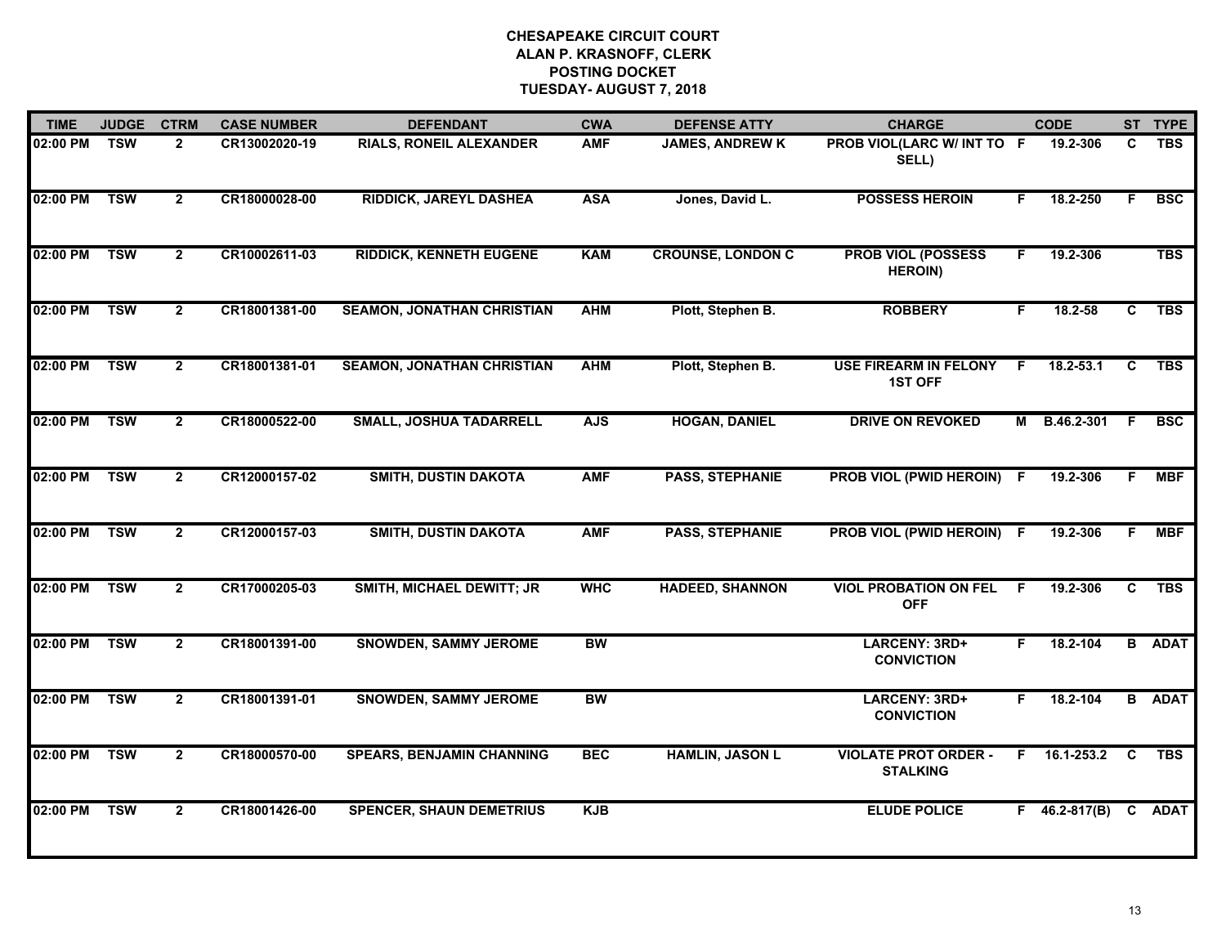| <b>TIME</b> | <b>JUDGE</b> | <b>CTRM</b>    | <b>CASE NUMBER</b> | <b>DEFENDANT</b>                  | <b>CWA</b> | <b>DEFENSE ATTY</b>      | <b>CHARGE</b>                                  |    | <b>CODE</b>         |              | ST TYPE       |
|-------------|--------------|----------------|--------------------|-----------------------------------|------------|--------------------------|------------------------------------------------|----|---------------------|--------------|---------------|
| 02:00 PM    | <b>TSW</b>   | $\overline{2}$ | CR13002020-19      | <b>RIALS, RONEIL ALEXANDER</b>    | <b>AMF</b> | <b>JAMES, ANDREW K</b>   | PROB VIOL(LARC W/ INT TO F<br>SELL)            |    | 19.2-306            | C            | <b>TBS</b>    |
| 02:00 PM    | <b>TSW</b>   | $\overline{2}$ | CR18000028-00      | <b>RIDDICK, JAREYL DASHEA</b>     | <b>ASA</b> | Jones, David L.          | <b>POSSESS HEROIN</b>                          | F. | 18.2-250            | F.           | <b>BSC</b>    |
| 02:00 PM    | <b>TSW</b>   | $\overline{2}$ | CR10002611-03      | <b>RIDDICK, KENNETH EUGENE</b>    | <b>KAM</b> | <b>CROUNSE, LONDON C</b> | <b>PROB VIOL (POSSESS</b><br><b>HEROIN)</b>    | F. | 19.2-306            |              | <b>TBS</b>    |
| 02:00 PM    | <b>TSW</b>   | $\mathbf{2}$   | CR18001381-00      | <b>SEAMON, JONATHAN CHRISTIAN</b> | <b>AHM</b> | Plott, Stephen B.        | <b>ROBBERY</b>                                 | F. | 18.2-58             | C            | <b>TBS</b>    |
| 02:00 PM    | <b>TSW</b>   | $\overline{2}$ | CR18001381-01      | <b>SEAMON, JONATHAN CHRISTIAN</b> | <b>AHM</b> | Plott, Stephen B.        | <b>USE FIREARM IN FELONY</b><br><b>1ST OFF</b> | F. | $18.2 - 53.1$       | C            | <b>TBS</b>    |
| 02:00 PM    | <b>TSW</b>   | $\overline{2}$ | CR18000522-00      | <b>SMALL, JOSHUA TADARRELL</b>    | <b>AJS</b> | <b>HOGAN, DANIEL</b>     | <b>DRIVE ON REVOKED</b>                        |    | M B.46.2-301        | <b>F</b>     | <b>BSC</b>    |
| 02:00 PM    | <b>TSW</b>   | $\overline{2}$ | CR12000157-02      | <b>SMITH, DUSTIN DAKOTA</b>       | <b>AMF</b> | <b>PASS, STEPHANIE</b>   | PROB VIOL (PWID HEROIN) F                      |    | 19.2-306            | F.           | <b>MBF</b>    |
| 02:00 PM    | <b>TSW</b>   | $\overline{2}$ | CR12000157-03      | <b>SMITH, DUSTIN DAKOTA</b>       | <b>AMF</b> | <b>PASS, STEPHANIE</b>   | PROB VIOL (PWID HEROIN) F                      |    | 19.2-306            | F.           | <b>MBF</b>    |
| 02:00 PM    | <b>TSW</b>   | $\mathbf{2}$   | CR17000205-03      | SMITH, MICHAEL DEWITT; JR         | <b>WHC</b> | <b>HADEED, SHANNON</b>   | <b>VIOL PROBATION ON FEL</b><br><b>OFF</b>     | -F | 19.2-306            | C            | <b>TBS</b>    |
| 02:00 PM    | <b>TSW</b>   | $\overline{2}$ | CR18001391-00      | <b>SNOWDEN, SAMMY JEROME</b>      | <b>BW</b>  |                          | LARCENY: 3RD+<br><b>CONVICTION</b>             | F. | 18.2-104            |              | <b>B</b> ADAT |
| 02:00 PM    | <b>TSW</b>   | $\mathbf{2}$   | CR18001391-01      | <b>SNOWDEN, SAMMY JEROME</b>      | <b>BW</b>  |                          | LARCENY: 3RD+<br><b>CONVICTION</b>             | F. | 18.2-104            |              | <b>B</b> ADAT |
| 02:00 PM    | <b>TSW</b>   | $\overline{2}$ | CR18000570-00      | <b>SPEARS, BENJAMIN CHANNING</b>  | <b>BEC</b> | <b>HAMLIN, JASON L</b>   | <b>VIOLATE PROT ORDER -</b><br><b>STALKING</b> |    | $F = 16.1 - 253.2$  | $\mathbf{C}$ | <b>TBS</b>    |
| 02:00 PM    | <b>TSW</b>   | $\overline{2}$ | CR18001426-00      | <b>SPENCER, SHAUN DEMETRIUS</b>   | <b>KJB</b> |                          | <b>ELUDE POLICE</b>                            |    | $F = 46.2 - 817(B)$ | $\mathbf{C}$ | <b>ADAT</b>   |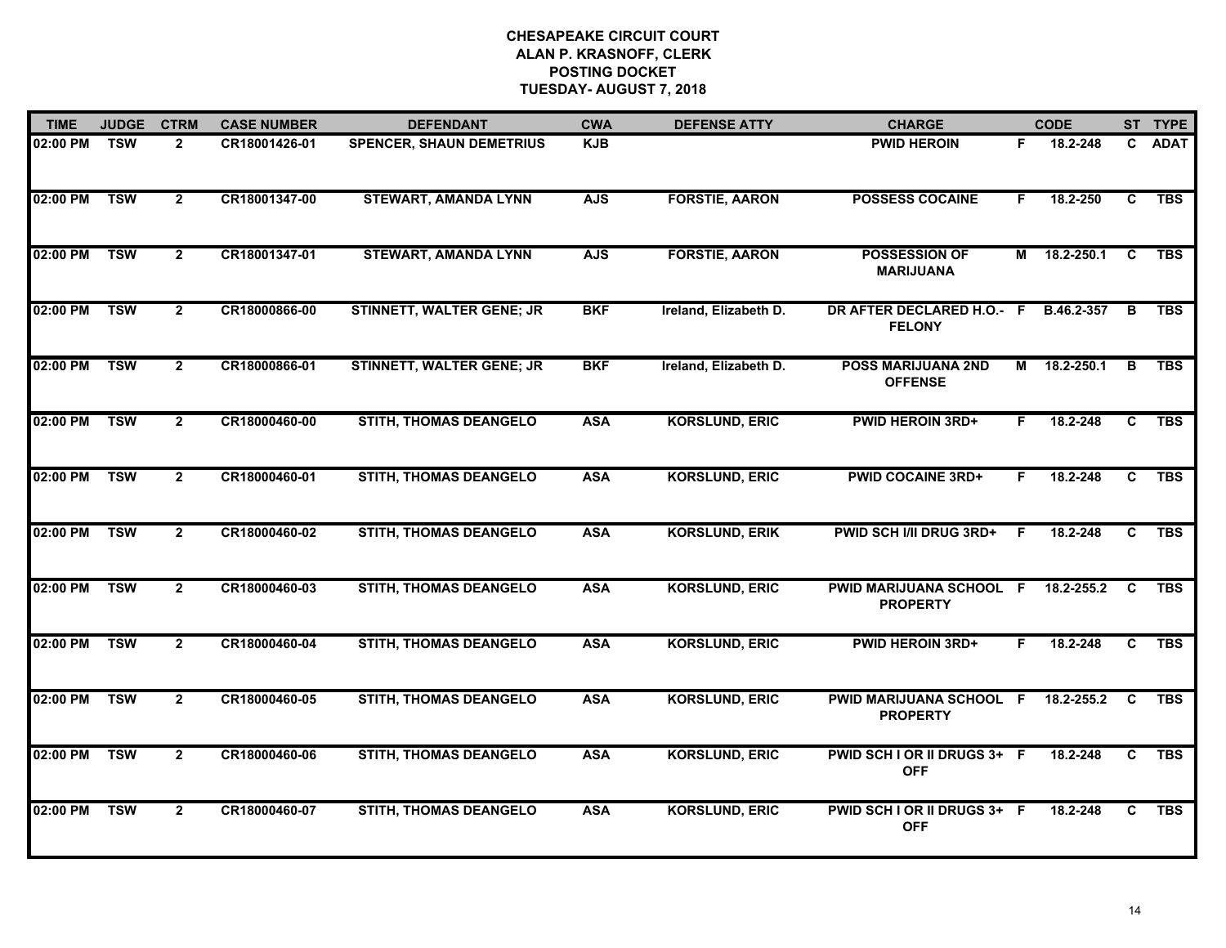| <b>TIME</b> | <b>JUDGE</b> | <b>CTRM</b>    | <b>CASE NUMBER</b> | <b>DEFENDANT</b>                 | <b>CWA</b> | <b>DEFENSE ATTY</b>   | <b>CHARGE</b>                               |    | <b>CODE</b> |              | ST TYPE     |
|-------------|--------------|----------------|--------------------|----------------------------------|------------|-----------------------|---------------------------------------------|----|-------------|--------------|-------------|
| 02:00 PM    | <b>TSW</b>   | $\overline{2}$ | CR18001426-01      | <b>SPENCER, SHAUN DEMETRIUS</b>  | <b>KJB</b> |                       | <b>PWID HEROIN</b>                          | F. | 18.2-248    | $\mathbf{c}$ | <b>ADAT</b> |
| 02:00 PM    | <b>TSW</b>   | $\overline{2}$ | CR18001347-00      | <b>STEWART, AMANDA LYNN</b>      | <b>AJS</b> | <b>FORSTIE, AARON</b> | <b>POSSESS COCAINE</b>                      | F  | 18.2-250    | C            | <b>TBS</b>  |
| 02:00 PM    | <b>TSW</b>   | $\overline{2}$ | CR18001347-01      | <b>STEWART, AMANDA LYNN</b>      | <b>AJS</b> | <b>FORSTIE, AARON</b> | <b>POSSESSION OF</b><br><b>MARIJUANA</b>    | М  | 18.2-250.1  | C            | <b>TBS</b>  |
| 02:00 PM    | <b>TSW</b>   | $\mathbf{2}$   | CR18000866-00      | <b>STINNETT, WALTER GENE; JR</b> | <b>BKF</b> | Ireland, Elizabeth D. | DR AFTER DECLARED H.O.- F<br><b>FELONY</b>  |    | B.46.2-357  | В            | <b>TBS</b>  |
| 02:00 PM    | <b>TSW</b>   | $\overline{2}$ | CR18000866-01      | <b>STINNETT, WALTER GENE; JR</b> | <b>BKF</b> | Ireland, Elizabeth D. | <b>POSS MARIJUANA 2ND</b><br><b>OFFENSE</b> | M  | 18.2-250.1  | B            | <b>TBS</b>  |
| 02:00 PM    | <b>TSW</b>   | $\overline{2}$ | CR18000460-00      | <b>STITH, THOMAS DEANGELO</b>    | <b>ASA</b> | <b>KORSLUND, ERIC</b> | <b>PWID HEROIN 3RD+</b>                     | F. | 18.2-248    | C            | <b>TBS</b>  |
| 02:00 PM    | <b>TSW</b>   | $\overline{2}$ | CR18000460-01      | <b>STITH, THOMAS DEANGELO</b>    | <b>ASA</b> | <b>KORSLUND, ERIC</b> | <b>PWID COCAINE 3RD+</b>                    | F. | 18.2-248    | C            | <b>TBS</b>  |
| 02:00 PM    | <b>TSW</b>   | $\overline{2}$ | CR18000460-02      | <b>STITH, THOMAS DEANGELO</b>    | <b>ASA</b> | <b>KORSLUND, ERIK</b> | <b>PWID SCH I/II DRUG 3RD+</b>              | -F | 18.2-248    | C            | <b>TBS</b>  |
| 02:00 PM    | <b>TSW</b>   | $\overline{2}$ | CR18000460-03      | <b>STITH, THOMAS DEANGELO</b>    | <b>ASA</b> | <b>KORSLUND, ERIC</b> | PWID MARIJUANA SCHOOL F<br><b>PROPERTY</b>  |    | 18.2-255.2  | C            | <b>TBS</b>  |
| 02:00 PM    | <b>TSW</b>   | $\overline{2}$ | CR18000460-04      | <b>STITH, THOMAS DEANGELO</b>    | <b>ASA</b> | <b>KORSLUND, ERIC</b> | <b>PWID HEROIN 3RD+</b>                     | F. | 18.2-248    | C            | <b>TBS</b>  |
| 02:00 PM    | <b>TSW</b>   | $\overline{2}$ | CR18000460-05      | <b>STITH, THOMAS DEANGELO</b>    | <b>ASA</b> | <b>KORSLUND, ERIC</b> | PWID MARIJUANA SCHOOL F<br><b>PROPERTY</b>  |    | 18.2-255.2  | C            | <b>TBS</b>  |
| 02:00 PM    | <b>TSW</b>   | $\overline{2}$ | CR18000460-06      | <b>STITH, THOMAS DEANGELO</b>    | <b>ASA</b> | <b>KORSLUND, ERIC</b> | PWID SCH I OR II DRUGS 3+ F<br><b>OFF</b>   |    | 18.2-248    | C            | <b>TBS</b>  |
| 02:00 PM    | <b>TSW</b>   | $\overline{2}$ | CR18000460-07      | <b>STITH, THOMAS DEANGELO</b>    | <b>ASA</b> | <b>KORSLUND, ERIC</b> | PWID SCH I OR II DRUGS 3+ F<br><b>OFF</b>   |    | 18.2-248    | C.           | <b>TBS</b>  |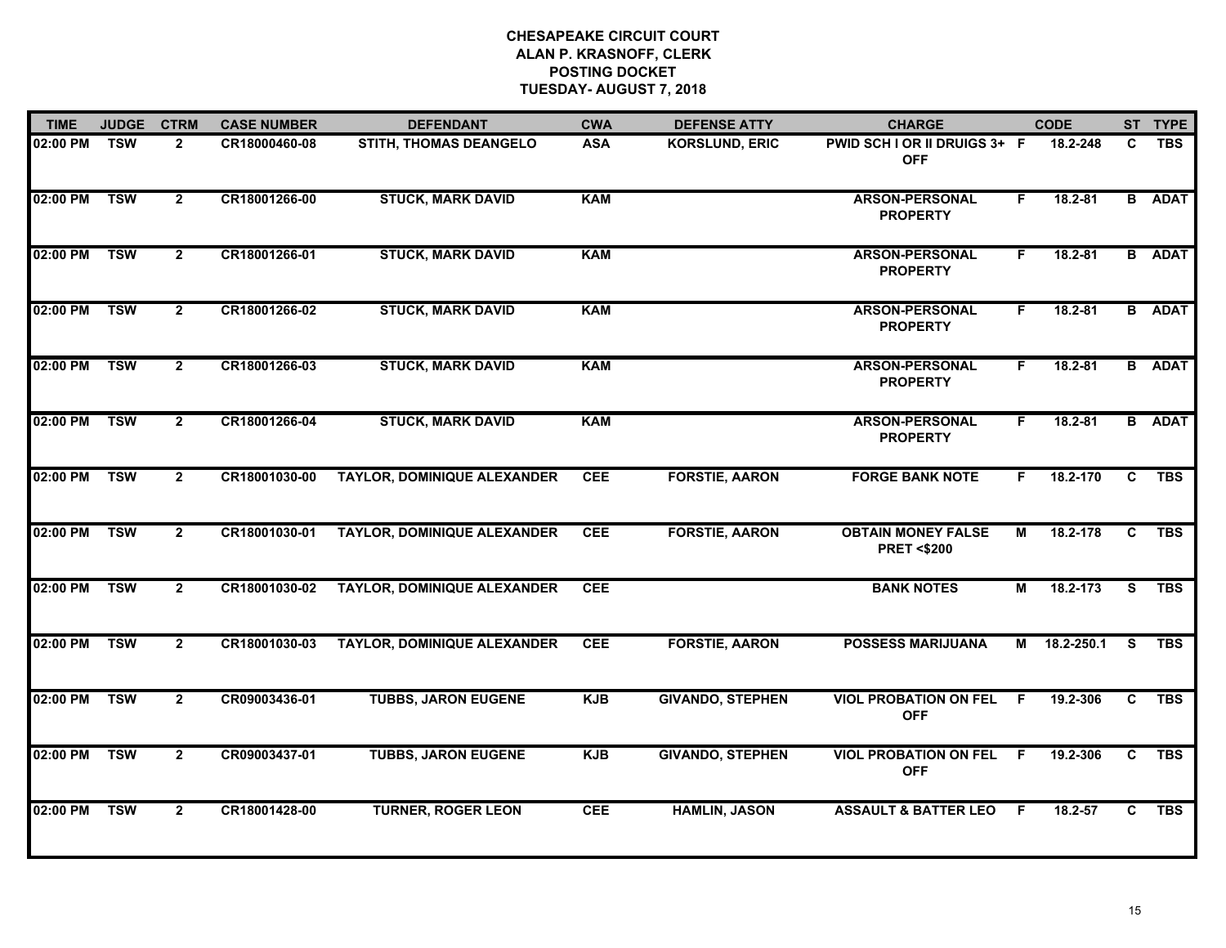| <b>TIME</b> | <b>JUDGE</b> | <b>CTRM</b>    | <b>CASE NUMBER</b> | <b>DEFENDANT</b>                   | <b>CWA</b> | <b>DEFENSE ATTY</b>     | <b>CHARGE</b>                                      |     | <b>CODE</b>  |              | ST TYPE       |
|-------------|--------------|----------------|--------------------|------------------------------------|------------|-------------------------|----------------------------------------------------|-----|--------------|--------------|---------------|
| 02:00 PM    | <b>TSW</b>   | $\overline{2}$ | CR18000460-08      | STITH, THOMAS DEANGELO             | <b>ASA</b> | <b>KORSLUND, ERIC</b>   | PWID SCH I OR II DRUIGS 3+ F<br><b>OFF</b>         |     | 18.2-248     | C            | <b>TBS</b>    |
| 02:00 PM    | <b>TSW</b>   | $\overline{2}$ | CR18001266-00      | <b>STUCK, MARK DAVID</b>           | <b>KAM</b> |                         | <b>ARSON-PERSONAL</b><br><b>PROPERTY</b>           | F.  | $18.2 - 81$  |              | <b>B</b> ADAT |
| 02:00 PM    | <b>TSW</b>   | $\overline{2}$ | CR18001266-01      | <b>STUCK, MARK DAVID</b>           | <b>KAM</b> |                         | <b>ARSON-PERSONAL</b><br><b>PROPERTY</b>           | F.  | $18.2 - 81$  |              | <b>B</b> ADAT |
| 02:00 PM    | <b>TSW</b>   | $\overline{2}$ | CR18001266-02      | <b>STUCK, MARK DAVID</b>           | <b>KAM</b> |                         | <b>ARSON-PERSONAL</b><br><b>PROPERTY</b>           | F.  | $18.2 - 81$  |              | <b>B</b> ADAT |
| 02:00 PM    | <b>TSW</b>   | $\overline{2}$ | CR18001266-03      | <b>STUCK, MARK DAVID</b>           | <b>KAM</b> |                         | <b>ARSON-PERSONAL</b><br><b>PROPERTY</b>           | F.  | $18.2 - 81$  |              | <b>B</b> ADAT |
| 02:00 PM    | <b>TSW</b>   | $\overline{2}$ | CR18001266-04      | <b>STUCK, MARK DAVID</b>           | <b>KAM</b> |                         | <b>ARSON-PERSONAL</b><br><b>PROPERTY</b>           | F.  | $18.2 - 81$  |              | <b>B</b> ADAT |
| 02:00 PM    | <b>TSW</b>   | $\overline{2}$ | CR18001030-00      | <b>TAYLOR, DOMINIQUE ALEXANDER</b> | <b>CEE</b> | <b>FORSTIE, AARON</b>   | <b>FORGE BANK NOTE</b>                             | F.  | 18.2-170     | $\mathbf{c}$ | <b>TBS</b>    |
| 02:00 PM    | <b>TSW</b>   | $\mathbf{2}$   | CR18001030-01      | <b>TAYLOR, DOMINIQUE ALEXANDER</b> | <b>CEE</b> | <b>FORSTIE, AARON</b>   | <b>OBTAIN MONEY FALSE</b><br><b>PRET &lt;\$200</b> | М   | 18.2-178     | C            | <b>TBS</b>    |
| 02:00 PM    | <b>TSW</b>   | $\overline{2}$ | CR18001030-02      | <b>TAYLOR, DOMINIQUE ALEXANDER</b> | <b>CEE</b> |                         | <b>BANK NOTES</b>                                  | М   | 18.2-173     | S            | <b>TBS</b>    |
| 02:00 PM    | <b>TSW</b>   | $\overline{2}$ | CR18001030-03      | <b>TAYLOR, DOMINIQUE ALEXANDER</b> | <b>CEE</b> | <b>FORSTIE, AARON</b>   | <b>POSSESS MARIJUANA</b>                           |     | M 18.2-250.1 | S.           | <b>TBS</b>    |
| 02:00 PM    | <b>TSW</b>   | $\overline{2}$ | CR09003436-01      | <b>TUBBS, JARON EUGENE</b>         | <b>KJB</b> | <b>GIVANDO, STEPHEN</b> | <b>VIOL PROBATION ON FEL</b><br><b>OFF</b>         | - F | 19.2-306     | C            | <b>TBS</b>    |
| 02:00 PM    | <b>TSW</b>   | $\mathbf{2}$   | CR09003437-01      | <b>TUBBS, JARON EUGENE</b>         | <b>KJB</b> | <b>GIVANDO, STEPHEN</b> | <b>VIOL PROBATION ON FEL</b><br><b>OFF</b>         | -F  | 19.2-306     | C            | <b>TBS</b>    |
| 02:00 PM    | <b>TSW</b>   | $\mathbf{2}$   | CR18001428-00      | <b>TURNER, ROGER LEON</b>          | <b>CEE</b> | <b>HAMLIN, JASON</b>    | <b>ASSAULT &amp; BATTER LEO</b>                    | F   | 18.2-57      | C.           | <b>TBS</b>    |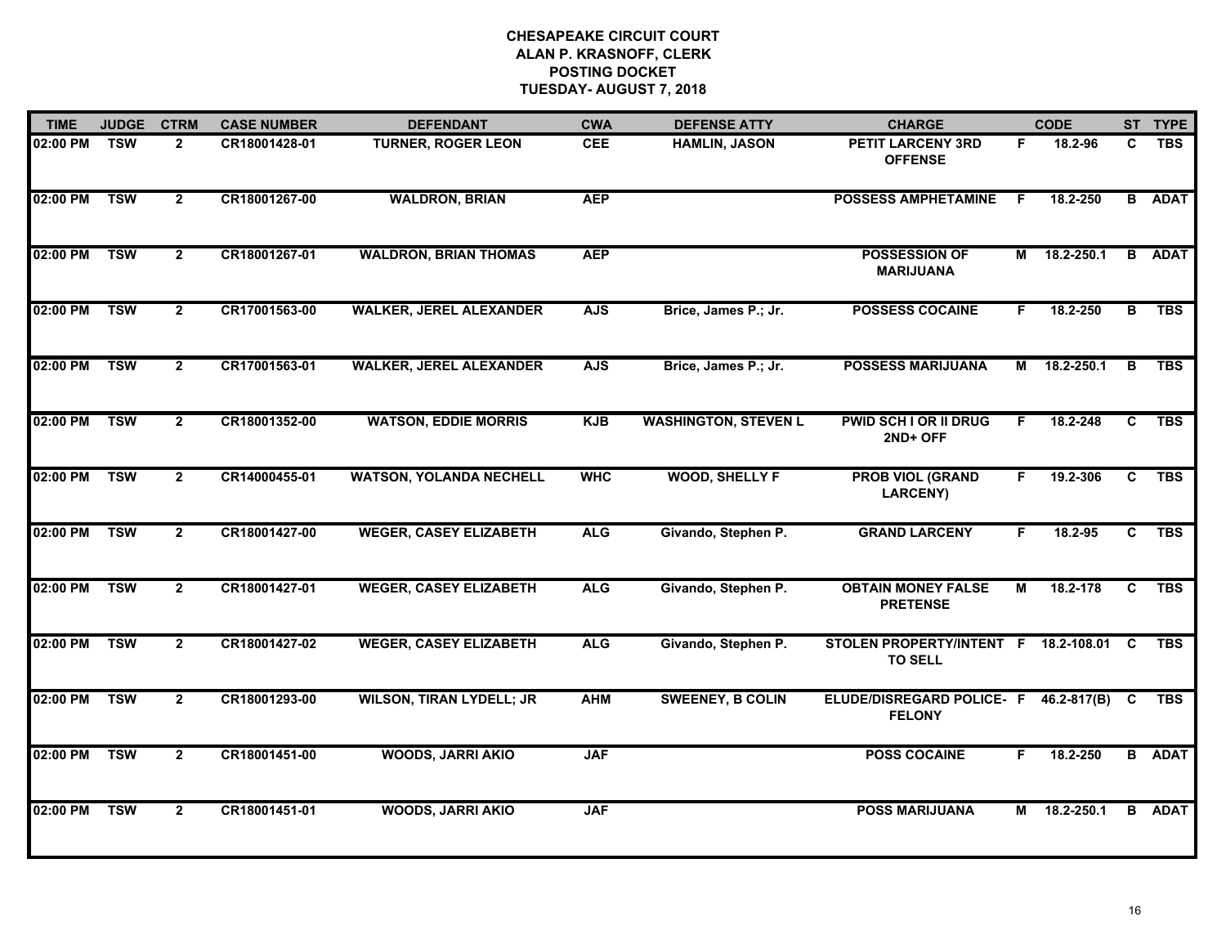| <b>TIME</b> | <b>JUDGE</b> | <b>CTRM</b>    | <b>CASE NUMBER</b> | <b>DEFENDANT</b>                | <b>CWA</b> | <b>DEFENSE ATTY</b>         | <b>CHARGE</b>                                            |    | <b>CODE</b>  |                | ST TYPE       |
|-------------|--------------|----------------|--------------------|---------------------------------|------------|-----------------------------|----------------------------------------------------------|----|--------------|----------------|---------------|
| 02:00 PM    | <b>TSW</b>   | $\overline{2}$ | CR18001428-01      | <b>TURNER, ROGER LEON</b>       | <b>CEE</b> | <b>HAMLIN, JASON</b>        | <b>PETIT LARCENY 3RD</b><br><b>OFFENSE</b>               | F. | 18.2-96      | C              | <b>TBS</b>    |
| 02:00 PM    | <b>TSW</b>   | $\overline{2}$ | CR18001267-00      | <b>WALDRON, BRIAN</b>           | <b>AEP</b> |                             | <b>POSSESS AMPHETAMINE</b>                               | F  | 18.2-250     |                | <b>B</b> ADAT |
| 02:00 PM    | <b>TSW</b>   | $\overline{2}$ | CR18001267-01      | <b>WALDRON, BRIAN THOMAS</b>    | <b>AEP</b> |                             | <b>POSSESSION OF</b><br><b>MARIJUANA</b>                 | М  | 18.2-250.1   |                | <b>B</b> ADAT |
| 02:00 PM    | <b>TSW</b>   | $\overline{2}$ | CR17001563-00      | <b>WALKER, JEREL ALEXANDER</b>  | <b>AJS</b> | Brice, James P.; Jr.        | <b>POSSESS COCAINE</b>                                   | F. | 18.2-250     | в              | <b>TBS</b>    |
| 02:00 PM    | <b>TSW</b>   | $\overline{2}$ | CR17001563-01      | <b>WALKER, JEREL ALEXANDER</b>  | <b>AJS</b> | Brice, James P.; Jr.        | <b>POSSESS MARIJUANA</b>                                 | M  | 18.2-250.1   | $\overline{B}$ | <b>TBS</b>    |
| 02:00 PM    | <b>TSW</b>   | $\overline{2}$ | CR18001352-00      | <b>WATSON, EDDIE MORRIS</b>     | <b>KJB</b> | <b>WASHINGTON, STEVEN L</b> | <b>PWID SCH I OR II DRUG</b><br>2ND+ OFF                 | F. | 18.2-248     | $\overline{c}$ | <b>TBS</b>    |
| 02:00 PM    | <b>TSW</b>   | $\overline{2}$ | CR14000455-01      | <b>WATSON, YOLANDA NECHELL</b>  | <b>WHC</b> | <b>WOOD, SHELLY F</b>       | <b>PROB VIOL (GRAND</b><br><b>LARCENY)</b>               | F  | 19.2-306     | C              | <b>TBS</b>    |
| 02:00 PM    | <b>TSW</b>   | $\overline{2}$ | CR18001427-00      | <b>WEGER, CASEY ELIZABETH</b>   | <b>ALG</b> | Givando, Stephen P.         | <b>GRAND LARCENY</b>                                     | F  | 18.2-95      | C              | <b>TBS</b>    |
| 02:00 PM    | <b>TSW</b>   | $\overline{2}$ | CR18001427-01      | <b>WEGER, CASEY ELIZABETH</b>   | <b>ALG</b> | Givando, Stephen P.         | <b>OBTAIN MONEY FALSE</b><br><b>PRETENSE</b>             | М  | 18.2-178     | C              | <b>TBS</b>    |
| 02:00 PM    | <b>TSW</b>   | $\overline{2}$ | CR18001427-02      | <b>WEGER, CASEY ELIZABETH</b>   | <b>ALG</b> | Givando, Stephen P.         | STOLEN PROPERTY/INTENT F 18.2-108.01<br><b>TO SELL</b>   |    |              | C              | <b>TBS</b>    |
| 02:00 PM    | <b>TSW</b>   | $\overline{2}$ | CR18001293-00      | <b>WILSON, TIRAN LYDELL; JR</b> | <b>AHM</b> | <b>SWEENEY, B COLIN</b>     | ELUDE/DISREGARD POLICE- F 46.2-817(B) C<br><b>FELONY</b> |    |              |                | <b>TBS</b>    |
| 02:00 PM    | <b>TSW</b>   | $\overline{2}$ | CR18001451-00      | <b>WOODS, JARRI AKIO</b>        | <b>JAF</b> |                             | <b>POSS COCAINE</b>                                      | F. | 18.2-250     |                | <b>B</b> ADAT |
| 02:00 PM    | <b>TSW</b>   | $\overline{2}$ | CR18001451-01      | <b>WOODS, JARRI AKIO</b>        | <b>JAF</b> |                             | <b>POSS MARIJUANA</b>                                    |    | M 18.2-250.1 |                | <b>B</b> ADAT |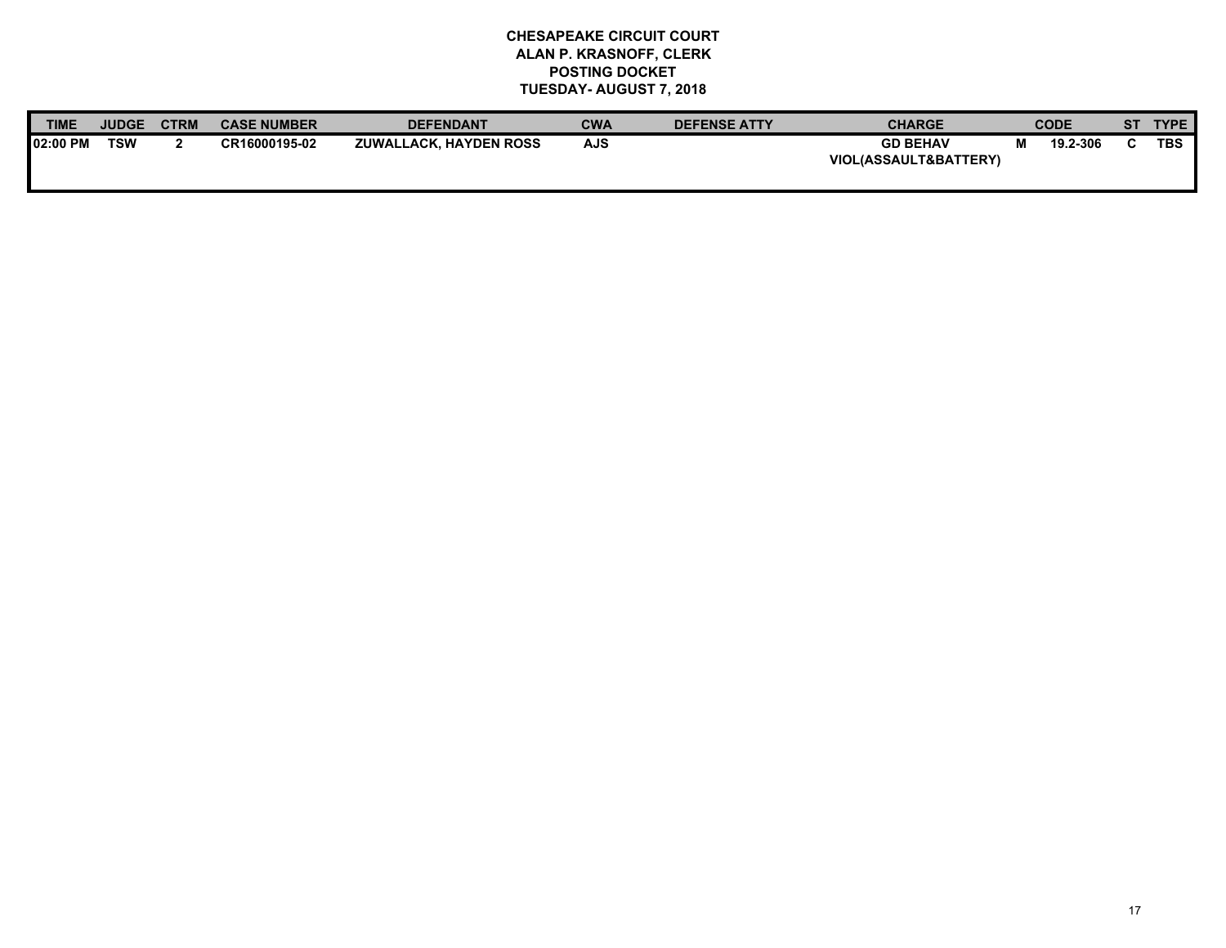| <b>TIME</b>      | <b>JUDGE</b> | <b>CTRM</b> | <b>CASE NUMBER</b> | <b>DEFENDANT</b>              | <b>CWA</b> | <b>DEFENSE ATTY</b> | <b>CHARGE</b>                                       |   | <b>CODE</b> | C <sub>T</sub> | <b>TYPE</b> |
|------------------|--------------|-------------|--------------------|-------------------------------|------------|---------------------|-----------------------------------------------------|---|-------------|----------------|-------------|
| <b>102:00 PM</b> | <b>TSW</b>   |             | CR16000195-02      | <b>ZUWALLACK, HAYDEN ROSS</b> | AJS        |                     | <b>GD BEHAV</b><br><b>VIOL(ASSAULT&amp;BATTERY)</b> | м | 19.2-306    |                | <b>TBS</b>  |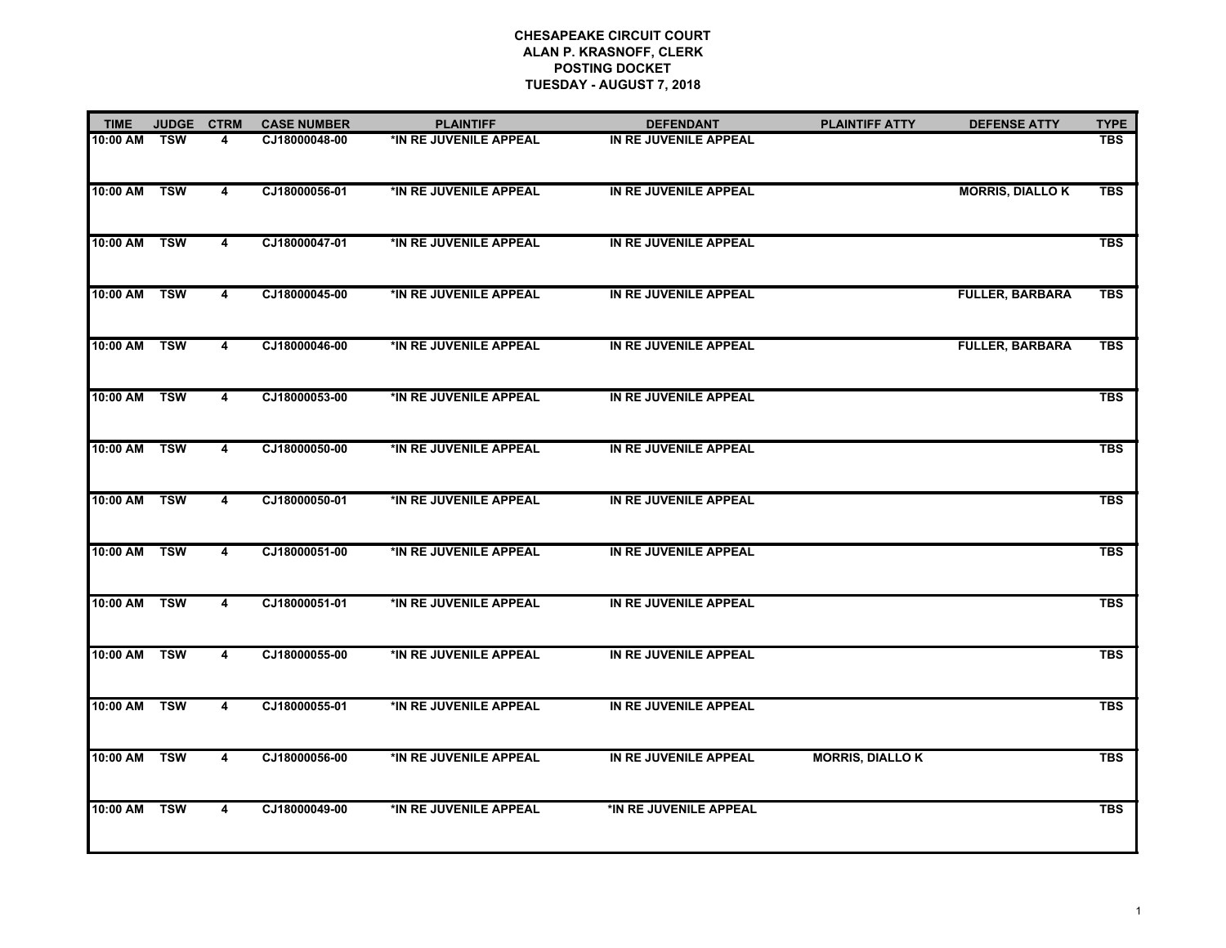| <b>TIME</b>  | <b>JUDGE</b> | <b>CTRM</b>             | <b>CASE NUMBER</b> | <b>PLAINTIFF</b>       | <b>DEFENDANT</b>       | <b>PLAINTIFF ATTY</b>   | <b>DEFENSE ATTY</b>     | <b>TYPE</b> |
|--------------|--------------|-------------------------|--------------------|------------------------|------------------------|-------------------------|-------------------------|-------------|
| 10:00 AM     | TSW          | 4                       | CJ18000048-00      | *IN RE JUVENILE APPEAL | IN RE JUVENILE APPEAL  |                         |                         | <b>TBS</b>  |
| 10:00 AM TSW |              | 4                       | CJ18000056-01      | *IN RE JUVENILE APPEAL | IN RE JUVENILE APPEAL  |                         | <b>MORRIS, DIALLO K</b> | <b>TBS</b>  |
| 10:00 AM TSW |              | 4                       | CJ18000047-01      | *IN RE JUVENILE APPEAL | IN RE JUVENILE APPEAL  |                         |                         | <b>TBS</b>  |
| 10:00 AM     | <b>TSW</b>   | 4                       | CJ18000045-00      | *IN RE JUVENILE APPEAL | IN RE JUVENILE APPEAL  |                         | <b>FULLER, BARBARA</b>  | <b>TBS</b>  |
| 10:00 AM TSW |              | 4                       | CJ18000046-00      | *IN RE JUVENILE APPEAL | IN RE JUVENILE APPEAL  |                         | <b>FULLER, BARBARA</b>  | <b>TBS</b>  |
| 10:00 AM TSW |              | 4                       | CJ18000053-00      | *IN RE JUVENILE APPEAL | IN RE JUVENILE APPEAL  |                         |                         | <b>TBS</b>  |
| 10:00 AM     | <b>TSW</b>   | 4                       | CJ18000050-00      | *IN RE JUVENILE APPEAL | IN RE JUVENILE APPEAL  |                         |                         | <b>TBS</b>  |
| 10:00 AM TSW |              | $\overline{\mathbf{4}}$ | CJ18000050-01      | *IN RE JUVENILE APPEAL | IN RE JUVENILE APPEAL  |                         |                         | <b>TBS</b>  |
| 10:00 AM     | <b>TSW</b>   | 4                       | CJ18000051-00      | *IN RE JUVENILE APPEAL | IN RE JUVENILE APPEAL  |                         |                         | <b>TBS</b>  |
| 10:00 AM     | <b>TSW</b>   | 4                       | CJ18000051-01      | *IN RE JUVENILE APPEAL | IN RE JUVENILE APPEAL  |                         |                         | <b>TBS</b>  |
| 10:00 AM     | <b>TSW</b>   | 4                       | CJ18000055-00      | *IN RE JUVENILE APPEAL | IN RE JUVENILE APPEAL  |                         |                         | <b>TBS</b>  |
| 10:00 AM     | <b>TSW</b>   | 4                       | CJ18000055-01      | *IN RE JUVENILE APPEAL | IN RE JUVENILE APPEAL  |                         |                         | <b>TBS</b>  |
| 10:00 AM     | <b>TSW</b>   | 4                       | CJ18000056-00      | *IN RE JUVENILE APPEAL | IN RE JUVENILE APPEAL  | <b>MORRIS, DIALLO K</b> |                         | <b>TBS</b>  |
| 10:00 AM     | <b>TSW</b>   | $\overline{\mathbf{4}}$ | CJ18000049-00      | *IN RE JUVENILE APPEAL | *IN RE JUVENILE APPEAL |                         |                         | <b>TBS</b>  |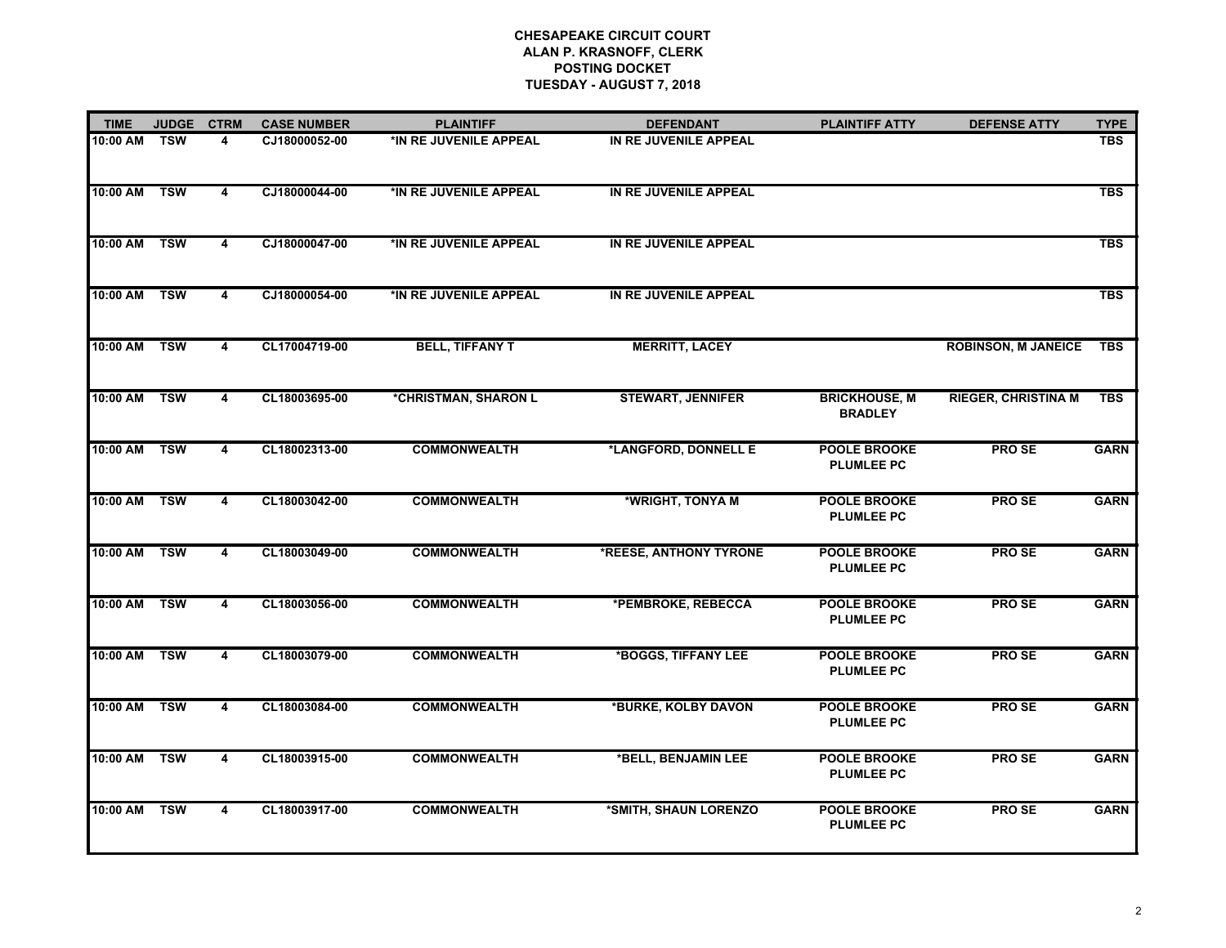| <b>TIME</b>  | <b>JUDGE</b>              | <b>CTRM</b>             | <b>CASE NUMBER</b> | <b>PLAINTIFF</b>       | <b>DEFENDANT</b>         | <b>PLAINTIFF ATTY</b>                    | <b>DEFENSE ATTY</b>        | <b>TYPE</b> |
|--------------|---------------------------|-------------------------|--------------------|------------------------|--------------------------|------------------------------------------|----------------------------|-------------|
| 10:00 AM     | TSW                       | 4                       | CJ18000052-00      | *IN RE JUVENILE APPEAL | IN RE JUVENILE APPEAL    |                                          |                            | <b>TBS</b>  |
| 10:00 AM     | <b>TSW</b>                | $\overline{\mathbf{4}}$ | CJ18000044-00      | *IN RE JUVENILE APPEAL | IN RE JUVENILE APPEAL    |                                          |                            | <b>TBS</b>  |
| 10:00 AM TSW |                           | 4                       | CJ18000047-00      | *IN RE JUVENILE APPEAL | IN RE JUVENILE APPEAL    |                                          |                            | <b>TBS</b>  |
| 10:00 AM     | <b>TSW</b>                | 4                       | CJ18000054-00      | *IN RE JUVENILE APPEAL | IN RE JUVENILE APPEAL    |                                          |                            | <b>TBS</b>  |
| 10:00 AM     | <b>TSW</b>                | 4                       | CL17004719-00      | <b>BELL, TIFFANY T</b> | <b>MERRITT, LACEY</b>    |                                          | <b>ROBINSON, M JANEICE</b> | <b>TBS</b>  |
| 10:00 AM     | $\overline{\mathsf{TSW}}$ | 4                       | CL18003695-00      | *CHRISTMAN, SHARON L   | <b>STEWART, JENNIFER</b> | <b>BRICKHOUSE, M</b><br><b>BRADLEY</b>   | <b>RIEGER, CHRISTINA M</b> | <b>TBS</b>  |
| 10:00 AM     | <b>TSW</b>                | 4                       | CL18002313-00      | <b>COMMONWEALTH</b>    | *LANGFORD, DONNELL E     | <b>POOLE BROOKE</b><br><b>PLUMLEE PC</b> | <b>PROSE</b>               | <b>GARN</b> |
| 10:00 AM TSW |                           | $\overline{\mathbf{4}}$ | CL18003042-00      | <b>COMMONWEALTH</b>    | *WRIGHT, TONYA M         | <b>POOLE BROOKE</b><br><b>PLUMLEE PC</b> | <b>PROSE</b>               | <b>GARN</b> |
| 10:00 AM     | <b>TSW</b>                | $\overline{4}$          | CL18003049-00      | <b>COMMONWEALTH</b>    | *REESE, ANTHONY TYRONE   | <b>POOLE BROOKE</b><br><b>PLUMLEE PC</b> | <b>PROSE</b>               | <b>GARN</b> |
| 10:00 AM     | <b>TSW</b>                | 4                       | CL18003056-00      | <b>COMMONWEALTH</b>    | *PEMBROKE, REBECCA       | <b>POOLE BROOKE</b><br><b>PLUMLEE PC</b> | <b>PROSE</b>               | <b>GARN</b> |
| 10:00 AM TSW |                           | 4                       | CL18003079-00      | <b>COMMONWEALTH</b>    | *BOGGS, TIFFANY LEE      | <b>POOLE BROOKE</b><br><b>PLUMLEE PC</b> | <b>PROSE</b>               | <b>GARN</b> |
| 10:00 AM     | <b>TSW</b>                | 4                       | CL18003084-00      | <b>COMMONWEALTH</b>    | *BURKE, KOLBY DAVON      | <b>POOLE BROOKE</b><br><b>PLUMLEE PC</b> | PRO <sub>SE</sub>          | <b>GARN</b> |
| 10:00 AM     | <b>TSW</b>                | 4                       | CL18003915-00      | <b>COMMONWEALTH</b>    | *BELL, BENJAMIN LEE      | <b>POOLE BROOKE</b><br><b>PLUMLEE PC</b> | <b>PROSE</b>               | <b>GARN</b> |
| 10:00 AM     | <b>TSW</b>                | 4                       | CL18003917-00      | <b>COMMONWEALTH</b>    | *SMITH, SHAUN LORENZO    | <b>POOLE BROOKE</b><br><b>PLUMLEE PC</b> | <b>PROSE</b>               | <b>GARN</b> |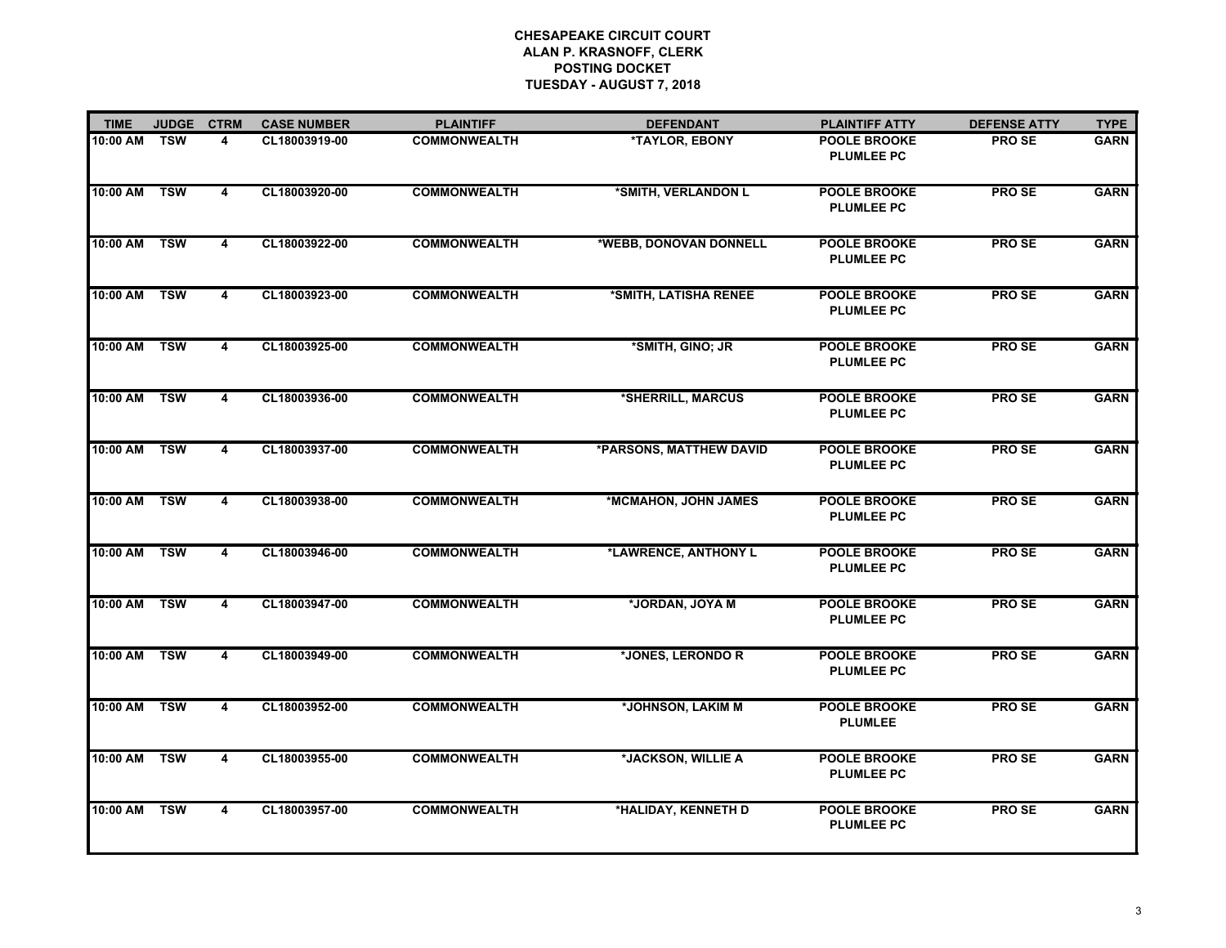| <b>TIME</b> | <b>JUDGE</b> | <b>CTRM</b>             | <b>CASE NUMBER</b> | <b>PLAINTIFF</b>    | <b>DEFENDANT</b>        | <b>PLAINTIFF ATTY</b>                    | <b>DEFENSE ATTY</b> | <b>TYPE</b> |
|-------------|--------------|-------------------------|--------------------|---------------------|-------------------------|------------------------------------------|---------------------|-------------|
| 10:00 AM    | <b>TSW</b>   | 4                       | CL18003919-00      | <b>COMMONWEALTH</b> | *TAYLOR, EBONY          | <b>POOLE BROOKE</b><br><b>PLUMLEE PC</b> | <b>PROSE</b>        | <b>GARN</b> |
| 10:00 AM    | <b>TSW</b>   | $\overline{\mathbf{4}}$ | CL18003920-00      | <b>COMMONWEALTH</b> | *SMITH, VERLANDON L     | POOLE BROOKE<br><b>PLUMLEE PC</b>        | <b>PROSE</b>        | <b>GARN</b> |
| 10:00 AM    | <b>TSW</b>   | $\overline{4}$          | CL18003922-00      | <b>COMMONWEALTH</b> | *WEBB, DONOVAN DONNELL  | <b>POOLE BROOKE</b><br><b>PLUMLEE PC</b> | PRO SE              | <b>GARN</b> |
| 10:00 AM    | <b>TSW</b>   | $\overline{4}$          | CL18003923-00      | <b>COMMONWEALTH</b> | *SMITH, LATISHA RENEE   | <b>POOLE BROOKE</b><br><b>PLUMLEE PC</b> | <b>PROSE</b>        | <b>GARN</b> |
| 10:00 AM    | TSW          | 4                       | CL18003925-00      | <b>COMMONWEALTH</b> | *SMITH, GINO; JR        | <b>POOLE BROOKE</b><br><b>PLUMLEE PC</b> | <b>PROSE</b>        | <b>GARN</b> |
| 10:00 AM    | <b>TSW</b>   | 4                       | CL18003936-00      | <b>COMMONWEALTH</b> | *SHERRILL, MARCUS       | <b>POOLE BROOKE</b><br><b>PLUMLEE PC</b> | <b>PROSE</b>        | <b>GARN</b> |
| 10:00 AM    | <b>TSW</b>   | $\overline{\mathbf{4}}$ | CL18003937-00      | <b>COMMONWEALTH</b> | *PARSONS, MATTHEW DAVID | <b>POOLE BROOKE</b><br><b>PLUMLEE PC</b> | <b>PROSE</b>        | <b>GARN</b> |
| 10:00 AM    | <b>TSW</b>   | 4                       | CL18003938-00      | <b>COMMONWEALTH</b> | *MCMAHON, JOHN JAMES    | <b>POOLE BROOKE</b><br><b>PLUMLEE PC</b> | <b>PROSE</b>        | <b>GARN</b> |
| 10:00 AM    | <b>TSW</b>   | $\overline{4}$          | CL18003946-00      | <b>COMMONWEALTH</b> | *LAWRENCE, ANTHONY L    | <b>POOLE BROOKE</b><br><b>PLUMLEE PC</b> | <b>PROSE</b>        | <b>GARN</b> |
| 10:00 AM    | <b>TSW</b>   | 4                       | CL18003947-00      | <b>COMMONWEALTH</b> | *JORDAN, JOYA M         | <b>POOLE BROOKE</b><br><b>PLUMLEE PC</b> | PRO SE              | <b>GARN</b> |
| 10:00 AM    | <b>TSW</b>   | $\overline{4}$          | CL18003949-00      | <b>COMMONWEALTH</b> | *JONES, LERONDO R       | <b>POOLE BROOKE</b><br><b>PLUMLEE PC</b> | <b>PROSE</b>        | <b>GARN</b> |
| 10:00 AM    | <b>TSW</b>   | 4                       | CL18003952-00      | <b>COMMONWEALTH</b> | *JOHNSON, LAKIM M       | POOLE BROOKE<br><b>PLUMLEE</b>           | PRO SE              | <b>GARN</b> |
| 10:00 AM    | <b>TSW</b>   | 4                       | CL18003955-00      | <b>COMMONWEALTH</b> | *JACKSON, WILLIE A      | <b>POOLE BROOKE</b><br><b>PLUMLEE PC</b> | <b>PROSE</b>        | <b>GARN</b> |
| 10:00 AM    | <b>TSW</b>   | $\overline{\mathbf{4}}$ | CL18003957-00      | <b>COMMONWEALTH</b> | *HALIDAY, KENNETH D     | <b>POOLE BROOKE</b><br><b>PLUMLEE PC</b> | <b>PROSE</b>        | <b>GARN</b> |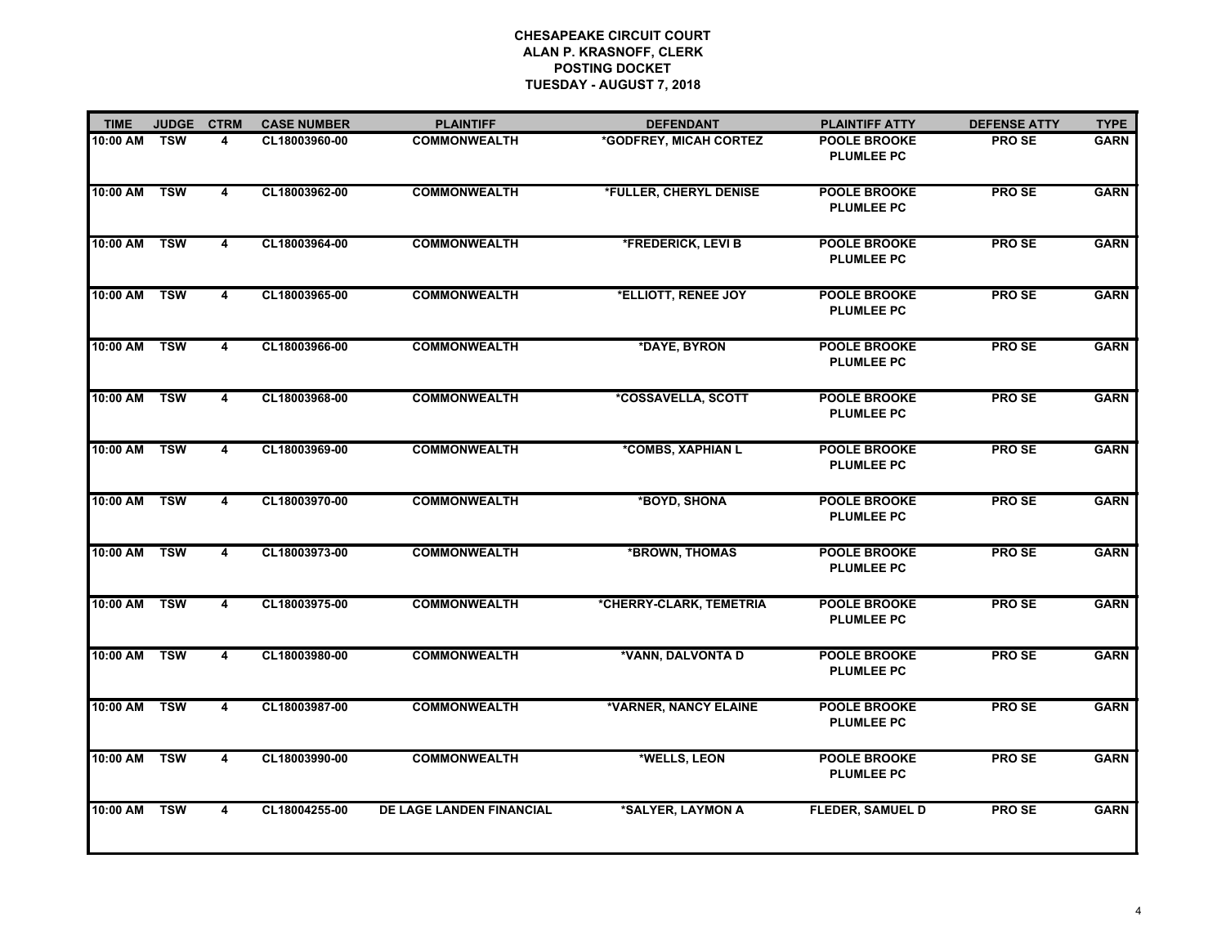| <b>TIME</b> | <b>JUDGE</b> | <b>CTRM</b>             | <b>CASE NUMBER</b> | <b>PLAINTIFF</b>                | <b>DEFENDANT</b>        | <b>PLAINTIFF ATTY</b>                    | <b>DEFENSE ATTY</b> | <b>TYPE</b> |
|-------------|--------------|-------------------------|--------------------|---------------------------------|-------------------------|------------------------------------------|---------------------|-------------|
| 10:00 AM    | <b>TSW</b>   | 4                       | CL18003960-00      | <b>COMMONWEALTH</b>             | *GODFREY, MICAH CORTEZ  | <b>POOLE BROOKE</b><br><b>PLUMLEE PC</b> | <b>PROSE</b>        | <b>GARN</b> |
| 10:00 AM    | <b>TSW</b>   | $\overline{\mathbf{4}}$ | CL18003962-00      | <b>COMMONWEALTH</b>             | *FULLER, CHERYL DENISE  | <b>POOLE BROOKE</b><br><b>PLUMLEE PC</b> | <b>PROSE</b>        | <b>GARN</b> |
| 10:00 AM    | <b>TSW</b>   | 4                       | CL18003964-00      | <b>COMMONWEALTH</b>             | *FREDERICK, LEVI B      | <b>POOLE BROOKE</b><br><b>PLUMLEE PC</b> | <b>PROSE</b>        | <b>GARN</b> |
| 10:00 AM    | <b>TSW</b>   | $\overline{4}$          | CL18003965-00      | <b>COMMONWEALTH</b>             | *ELLIOTT, RENEE JOY     | <b>POOLE BROOKE</b><br><b>PLUMLEE PC</b> | <b>PROSE</b>        | <b>GARN</b> |
| 10:00 AM    | TSW          | 4                       | CL18003966-00      | <b>COMMONWEALTH</b>             | *DAYE, BYRON            | <b>POOLE BROOKE</b><br><b>PLUMLEE PC</b> | <b>PROSE</b>        | <b>GARN</b> |
| 10:00 AM    | <b>TSW</b>   | 4                       | CL18003968-00      | <b>COMMONWEALTH</b>             | *COSSAVELLA, SCOTT      | <b>POOLE BROOKE</b><br><b>PLUMLEE PC</b> | <b>PROSE</b>        | <b>GARN</b> |
| 10:00 AM    | <b>TSW</b>   | 4                       | CL18003969-00      | <b>COMMONWEALTH</b>             | *COMBS, XAPHIAN L       | <b>POOLE BROOKE</b><br><b>PLUMLEE PC</b> | <b>PROSE</b>        | <b>GARN</b> |
| 10:00 AM    | <b>TSW</b>   | 4                       | CL18003970-00      | <b>COMMONWEALTH</b>             | *BOYD, SHONA            | <b>POOLE BROOKE</b><br><b>PLUMLEE PC</b> | <b>PROSE</b>        | <b>GARN</b> |
| 10:00 AM    | <b>TSW</b>   | $\overline{4}$          | CL18003973-00      | <b>COMMONWEALTH</b>             | *BROWN, THOMAS          | <b>POOLE BROOKE</b><br><b>PLUMLEE PC</b> | <b>PROSE</b>        | <b>GARN</b> |
| 10:00 AM    | <b>TSW</b>   | 4                       | CL18003975-00      | <b>COMMONWEALTH</b>             | *CHERRY-CLARK, TEMETRIA | <b>POOLE BROOKE</b><br><b>PLUMLEE PC</b> | <b>PROSE</b>        | <b>GARN</b> |
| 10:00 AM    | <b>TSW</b>   | 4                       | CL18003980-00      | <b>COMMONWEALTH</b>             | *VANN, DALVONTA D       | <b>POOLE BROOKE</b><br><b>PLUMLEE PC</b> | <b>PROSE</b>        | <b>GARN</b> |
| 10:00 AM    | <b>TSW</b>   | $\overline{\mathbf{4}}$ | CL18003987-00      | <b>COMMONWEALTH</b>             | *VARNER, NANCY ELAINE   | <b>POOLE BROOKE</b><br><b>PLUMLEE PC</b> | <b>PROSE</b>        | <b>GARN</b> |
| 10:00 AM    | <b>TSW</b>   | 4                       | CL18003990-00      | <b>COMMONWEALTH</b>             | *WELLS, LEON            | <b>POOLE BROOKE</b><br><b>PLUMLEE PC</b> | <b>PROSE</b>        | <b>GARN</b> |
| 10:00 AM    | <b>TSW</b>   | $\overline{\mathbf{4}}$ | CL18004255-00      | <b>DE LAGE LANDEN FINANCIAL</b> | *SALYER, LAYMON A       | <b>FLEDER, SAMUEL D</b>                  | <b>PROSE</b>        | <b>GARN</b> |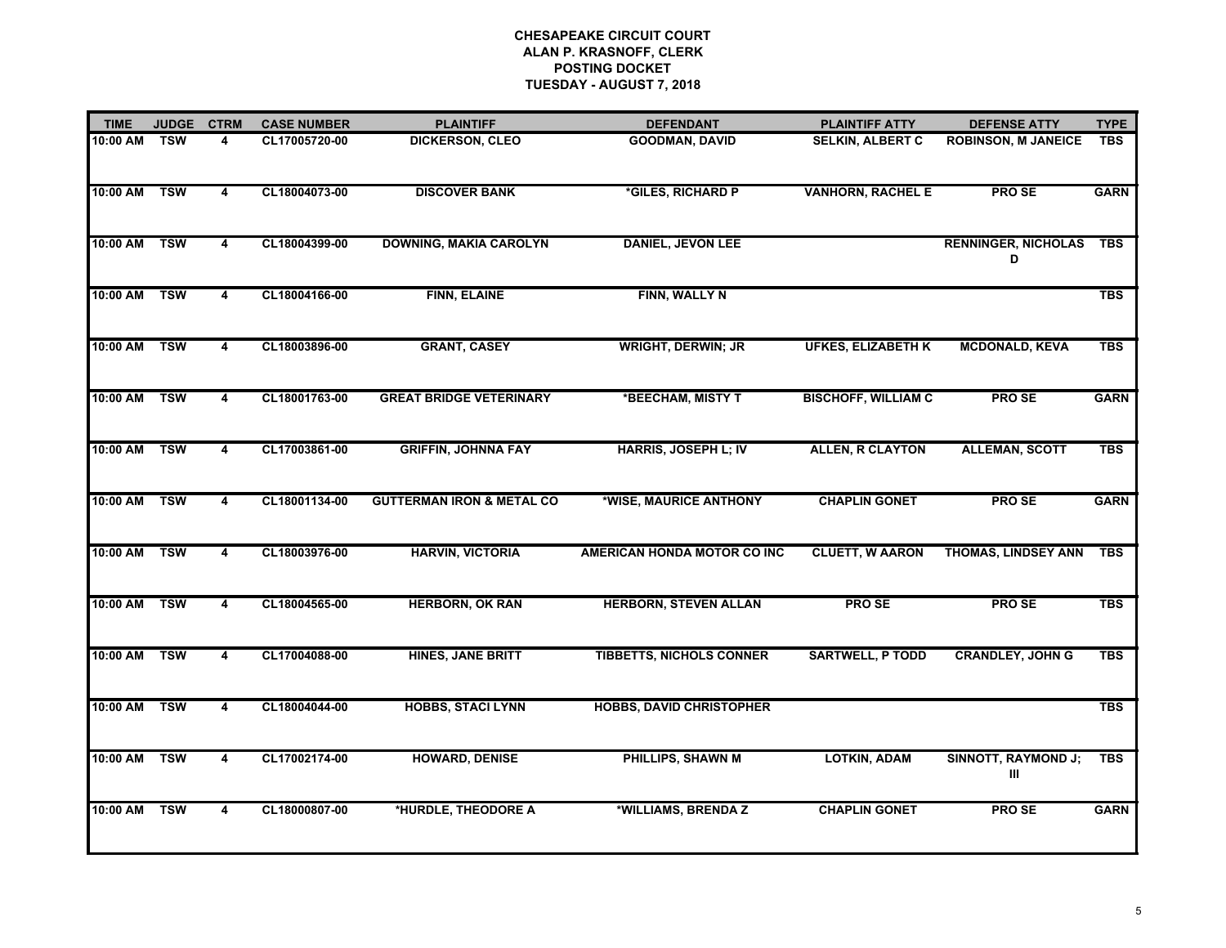| <b>TIME</b> | <b>JUDGE</b> | <b>CTRM</b>             | <b>CASE NUMBER</b> | <b>PLAINTIFF</b>                     | <b>DEFENDANT</b>                | <b>PLAINTIFF ATTY</b>      | <b>DEFENSE ATTY</b>             | <b>TYPE</b> |
|-------------|--------------|-------------------------|--------------------|--------------------------------------|---------------------------------|----------------------------|---------------------------------|-------------|
| 10:00 AM    | <b>TSW</b>   | 4                       | CL17005720-00      | <b>DICKERSON, CLEO</b>               | <b>GOODMAN, DAVID</b>           | <b>SELKIN, ALBERT C</b>    | <b>ROBINSON, M JANEICE</b>      | <b>TBS</b>  |
| 10:00 AM    | <b>TSW</b>   | 4                       | CL18004073-00      | <b>DISCOVER BANK</b>                 | *GILES, RICHARD P               | <b>VANHORN, RACHEL E</b>   | <b>PROSE</b>                    | <b>GARN</b> |
| 10:00 AM    | <b>TSW</b>   | $\overline{4}$          | CL18004399-00      | <b>DOWNING, MAKIA CAROLYN</b>        | <b>DANIEL, JEVON LEE</b>        |                            | <b>RENNINGER, NICHOLAS</b><br>D | <b>TBS</b>  |
| 10:00 AM    | <b>TSW</b>   | 4                       | CL18004166-00      | FINN, ELAINE                         | FINN, WALLY N                   |                            |                                 | <b>TBS</b>  |
| 10:00 AM    | <b>TSW</b>   | 4                       | CL18003896-00      | <b>GRANT, CASEY</b>                  | <b>WRIGHT, DERWIN; JR</b>       | <b>UFKES, ELIZABETH K</b>  | <b>MCDONALD, KEVA</b>           | <b>TBS</b>  |
| 10:00 AM    | <b>TSW</b>   | $\overline{\mathbf{4}}$ | CL18001763-00      | <b>GREAT BRIDGE VETERINARY</b>       | *BEECHAM, MISTY T               | <b>BISCHOFF, WILLIAM C</b> | <b>PROSE</b>                    | <b>GARN</b> |
| 10:00 AM    | <b>TSW</b>   | 4                       | CL17003861-00      | <b>GRIFFIN, JOHNNA FAY</b>           | <b>HARRIS, JOSEPH L; IV</b>     | <b>ALLEN, R CLAYTON</b>    | <b>ALLEMAN, SCOTT</b>           | <b>TBS</b>  |
| 10:00 AM    | <b>TSW</b>   | $\overline{\mathbf{4}}$ | CL18001134-00      | <b>GUTTERMAN IRON &amp; METAL CO</b> | *WISE, MAURICE ANTHONY          | <b>CHAPLIN GONET</b>       | <b>PROSE</b>                    | <b>GARN</b> |
| 10:00 AM    | <b>TSW</b>   | $\overline{4}$          | CL18003976-00      | <b>HARVIN, VICTORIA</b>              | AMERICAN HONDA MOTOR CO INC     | <b>CLUETT, W AARON</b>     | <b>THOMAS, LINDSEY ANN</b>      | <b>TBS</b>  |
| 10:00 AM    | <b>TSW</b>   | 4                       | CL18004565-00      | <b>HERBORN, OK RAN</b>               | <b>HERBORN, STEVEN ALLAN</b>    | <b>PROSE</b>               | <b>PROSE</b>                    | <b>TBS</b>  |
| 10:00 AM    | <b>TSW</b>   | 4                       | CL17004088-00      | <b>HINES, JANE BRITT</b>             | <b>TIBBETTS, NICHOLS CONNER</b> | <b>SARTWELL, P TODD</b>    | <b>CRANDLEY, JOHN G</b>         | <b>TBS</b>  |
| 10:00 AM    | <b>TSW</b>   | $\overline{\mathbf{4}}$ | CL18004044-00      | <b>HOBBS, STACI LYNN</b>             | <b>HOBBS, DAVID CHRISTOPHER</b> |                            |                                 | <b>TBS</b>  |
| 10:00 AM    | <b>TSW</b>   | 4                       | CL17002174-00      | <b>HOWARD, DENISE</b>                | PHILLIPS, SHAWN M               | <b>LOTKIN, ADAM</b>        | <b>SINNOTT, RAYMOND J;</b><br>Ш | <b>TBS</b>  |
| 10:00 AM    | <b>TSW</b>   | $\overline{\mathbf{4}}$ | CL18000807-00      | *HURDLE, THEODORE A                  | *WILLIAMS, BRENDA Z             | <b>CHAPLIN GONET</b>       | <b>PROSE</b>                    | <b>GARN</b> |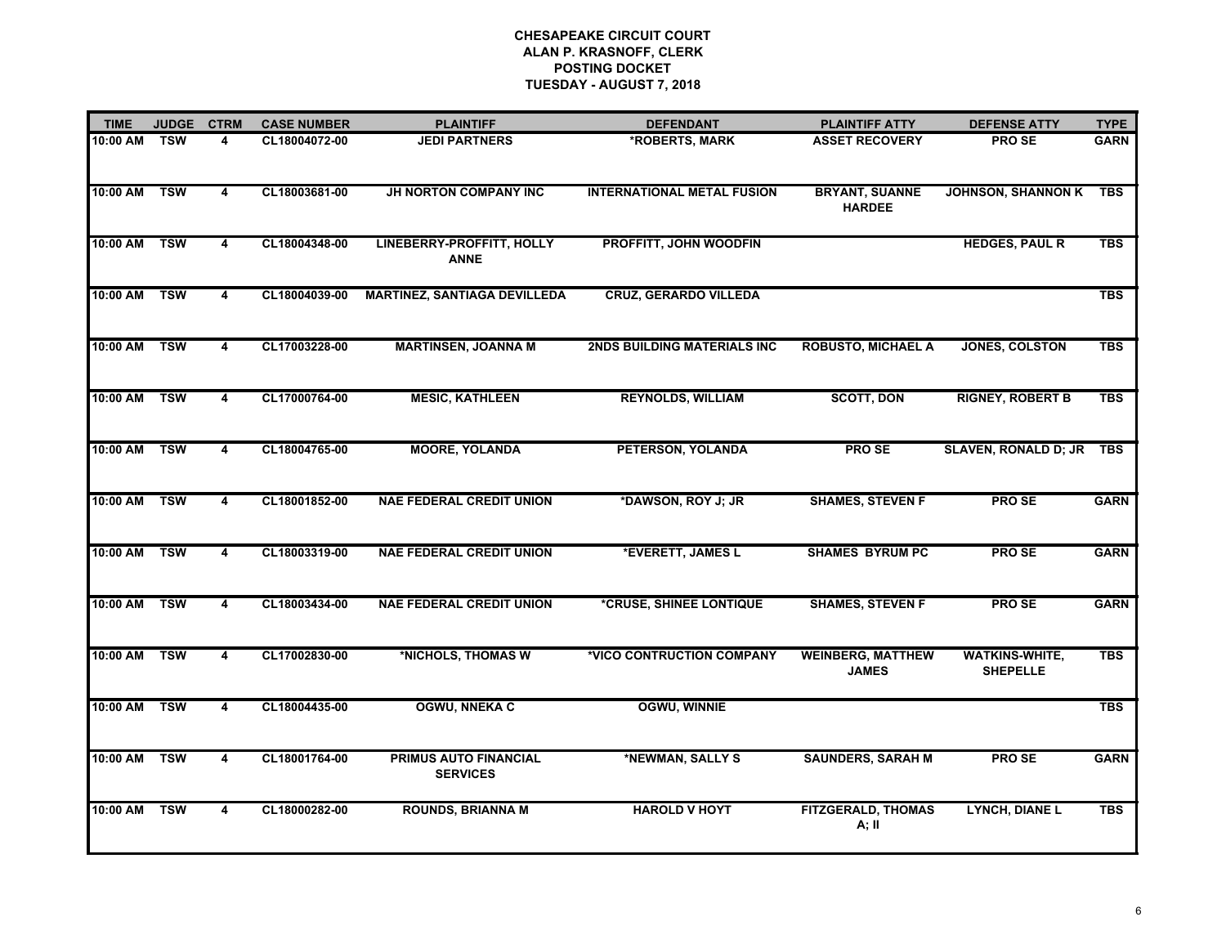| <b>TIME</b> | <b>JUDGE</b> | <b>CTRM</b> | <b>CASE NUMBER</b> | <b>PLAINTIFF</b>                         | <b>DEFENDANT</b>                   | <b>PLAINTIFF ATTY</b>                    | <b>DEFENSE ATTY</b>                      | <b>TYPE</b> |
|-------------|--------------|-------------|--------------------|------------------------------------------|------------------------------------|------------------------------------------|------------------------------------------|-------------|
| 10:00 AM    | <b>TSW</b>   | 4           | CL18004072-00      | <b>JEDI PARTNERS</b>                     | *ROBERTS, MARK                     | <b>ASSET RECOVERY</b>                    | <b>PROSE</b>                             | <b>GARN</b> |
| 10:00 AM    | <b>TSW</b>   | 4           | CL18003681-00      | <b>JH NORTON COMPANY INC</b>             | <b>INTERNATIONAL METAL FUSION</b>  | <b>BRYANT, SUANNE</b><br><b>HARDEE</b>   | JOHNSON, SHANNON K TBS                   |             |
| 10:00 AM    | TSW          | 4           | CL18004348-00      | LINEBERRY-PROFFITT, HOLLY<br><b>ANNE</b> | PROFFITT, JOHN WOODFIN             |                                          | <b>HEDGES, PAUL R</b>                    | <b>TBS</b>  |
| 10:00 AM    | <b>TSW</b>   | 4           | CL18004039-00      | <b>MARTINEZ, SANTIAGA DEVILLEDA</b>      | <b>CRUZ, GERARDO VILLEDA</b>       |                                          |                                          | <b>TBS</b>  |
| 10:00 AM    | <b>TSW</b>   | 4           | CL17003228-00      | <b>MARTINSEN, JOANNA M</b>               | <b>2NDS BUILDING MATERIALS INC</b> | <b>ROBUSTO, MICHAEL A</b>                | <b>JONES, COLSTON</b>                    | <b>TBS</b>  |
| 10:00 AM    | <b>TSW</b>   | 4           | CL17000764-00      | <b>MESIC, KATHLEEN</b>                   | <b>REYNOLDS, WILLIAM</b>           | <b>SCOTT, DON</b>                        | <b>RIGNEY, ROBERT B</b>                  | <b>TBS</b>  |
| 10:00 AM    | <b>TSW</b>   | 4           | CL18004765-00      | <b>MOORE, YOLANDA</b>                    | PETERSON, YOLANDA                  | <b>PROSE</b>                             | SLAVEN, RONALD D; JR TBS                 |             |
| 10:00 AM    | <b>TSW</b>   | 4           | CL18001852-00      | <b>NAE FEDERAL CREDIT UNION</b>          | *DAWSON, ROY J; JR                 | <b>SHAMES, STEVEN F</b>                  | <b>PROSE</b>                             | <b>GARN</b> |
| 10:00 AM    | <b>TSW</b>   | 4           | CL18003319-00      | <b>NAE FEDERAL CREDIT UNION</b>          | *EVERETT, JAMES L                  | <b>SHAMES BYRUM PC</b>                   | <b>PROSE</b>                             | <b>GARN</b> |
| 10:00 AM    | <b>TSW</b>   | 4           | CL18003434-00      | <b>NAE FEDERAL CREDIT UNION</b>          | *CRUSE, SHINEE LONTIQUE            | <b>SHAMES, STEVEN F</b>                  | <b>PROSE</b>                             | <b>GARN</b> |
| 10:00 AM    | <b>TSW</b>   | 4           | CL17002830-00      | *NICHOLS, THOMAS W                       | *VICO CONTRUCTION COMPANY          | <b>WEINBERG, MATTHEW</b><br><b>JAMES</b> | <b>WATKINS-WHITE,</b><br><b>SHEPELLE</b> | <b>TBS</b>  |
| 10:00 AM    | <b>TSW</b>   | 4           | CL18004435-00      | <b>OGWU, NNEKA C</b>                     | <b>OGWU, WINNIE</b>                |                                          |                                          | <b>TBS</b>  |
| 10:00 AM    | <b>TSW</b>   | 4           | CL18001764-00      | PRIMUS AUTO FINANCIAL<br><b>SERVICES</b> | *NEWMAN, SALLY S                   | <b>SAUNDERS, SARAH M</b>                 | <b>PROSE</b>                             | <b>GARN</b> |
| 10:00 AM    | TSW          | 4           | CL18000282-00      | <b>ROUNDS, BRIANNA M</b>                 | <b>HAROLD V HOYT</b>               | <b>FITZGERALD, THOMAS</b><br>A; II       | <b>LYNCH, DIANE L</b>                    | <b>TBS</b>  |